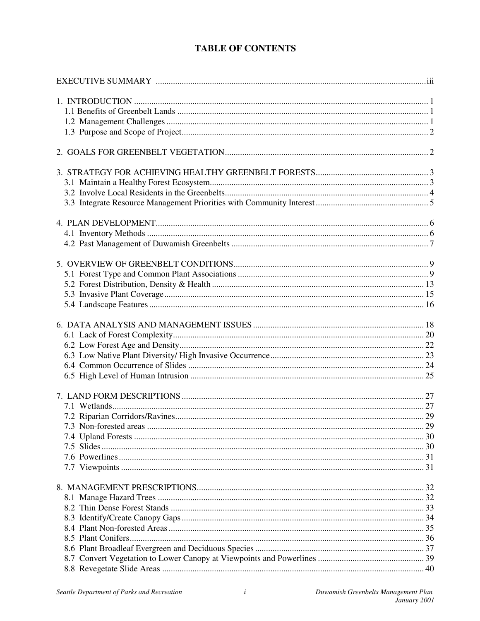## **TABLE OF CONTENTS**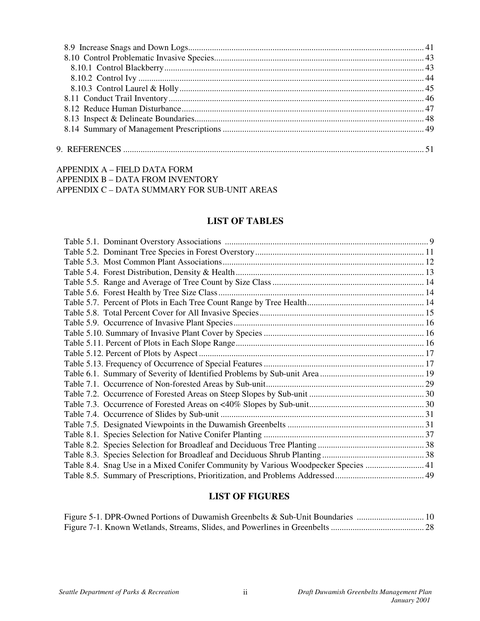### APPENDIX A – FIELD DATA FORM APPENDIX B – DATA FROM INVENTORY APPENDIX C – DATA SUMMARY FOR SUB-UNIT AREAS

### **LIST OF TABLES**

| Table 8.4. Snag Use in a Mixed Conifer Community by Various Woodpecker Species  41 |  |
|------------------------------------------------------------------------------------|--|
|                                                                                    |  |

### **LIST OF FIGURES**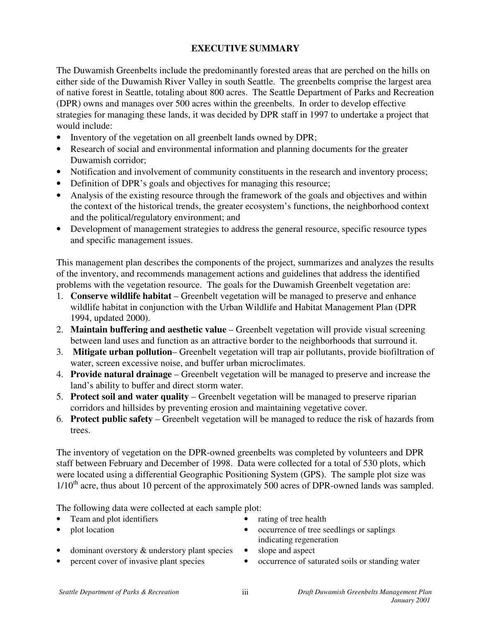## **EXECUTIVE SUMMARY**

The Duwamish Greenbelts include the predominantly forested areas that are perched on the hills on either side of the Duwamish River Valley in south Seattle. The greenbelts comprise the largest area of native forest in Seattle, totaling about 800 acres. The Seattle Department of Parks and Recreation (DPR) owns and manages over 500 acres within the greenbelts. In order to develop effective strategies for managing these lands, it was decided by DPR staff in 1997 to undertake a project that would include:

- Inventory of the vegetation on all greenbelt lands owned by DPR;
- Research of social and environmental information and planning documents for the greater Duwamish corridor;
- Notification and involvement of community constituents in the research and inventory process;
- Definition of DPR's goals and objectives for managing this resource;
- Analysis of the existing resource through the framework of the goals and objectives and within the context of the historical trends, the greater ecosystem's functions, the neighborhood context and the political/regulatory environment; and
- Development of management strategies to address the general resource, specific resource types and specific management issues.

This management plan describes the components of the project, summarizes and analyzes the results of the inventory, and recommends management actions and guidelines that address the identified problems with the vegetation resource. The goals for the Duwamish Greenbelt vegetation are:

- 1. **Conserve wildlife habitat** Greenbelt vegetation will be managed to preserve and enhance wildlife habitat in conjunction with the Urban Wildlife and Habitat Management Plan (DPR 1994, updated 2000).
- 2. **Maintain buffering and aesthetic value** Greenbelt vegetation will provide visual screening between land uses and function as an attractive border to the neighborhoods that surround it.
- 3. **Mitigate urban pollution** Greenbelt vegetation will trap air pollutants, provide biofiltration of water, screen excessive noise, and buffer urban microclimates.
- 4. **Provide natural drainage** Greenbelt vegetation will be managed to preserve and increase the land's ability to buffer and direct storm water.
- 5. **Protect soil and water quality** Greenbelt vegetation will be managed to preserve riparian corridors and hillsides by preventing erosion and maintaining vegetative cover.
- 6. **Protect public safety** Greenbelt vegetation will be managed to reduce the risk of hazards from trees.

The inventory of vegetation on the DPR-owned greenbelts was completed by volunteers and DPR staff between February and December of 1998. Data were collected for a total of 530 plots, which were located using a differential Geographic Positioning System (GPS). The sample plot size was 1/10<sup>th</sup> acre, thus about 10 percent of the approximately 500 acres of DPR-owned lands was sampled.

The following data were collected at each sample plot:

- Team and plot identifiers rating of tree health
- 
- 
- plot location occurrence of tree seedlings or saplings indicating regeneration
- dominant overstory  $\&$  understory plant species  $\bullet$  slope and aspect
- 
- 
- percent cover of invasive plant species occurrence of saturated soils or standing water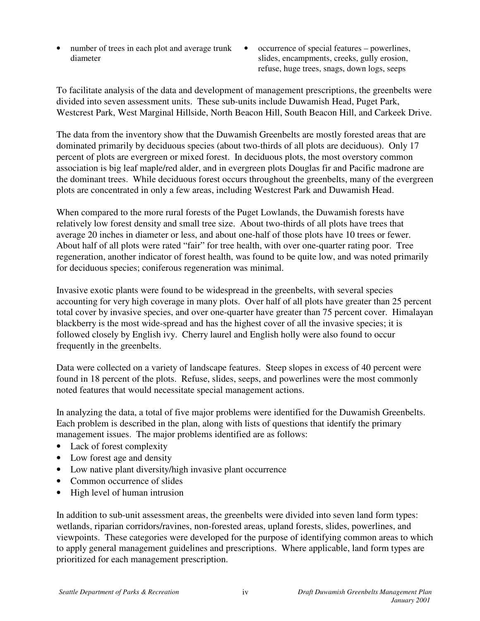- number of trees in each plot and average trunk diameter
- occurrence of special features powerlines, slides, encampments, creeks, gully erosion, refuse, huge trees, snags, down logs, seeps

To facilitate analysis of the data and development of management prescriptions, the greenbelts were divided into seven assessment units. These sub-units include Duwamish Head, Puget Park, Westcrest Park, West Marginal Hillside, North Beacon Hill, South Beacon Hill, and Carkeek Drive.

The data from the inventory show that the Duwamish Greenbelts are mostly forested areas that are dominated primarily by deciduous species (about two-thirds of all plots are deciduous). Only 17 percent of plots are evergreen or mixed forest. In deciduous plots, the most overstory common association is big leaf maple/red alder, and in evergreen plots Douglas fir and Pacific madrone are the dominant trees. While deciduous forest occurs throughout the greenbelts, many of the evergreen plots are concentrated in only a few areas, including Westcrest Park and Duwamish Head.

When compared to the more rural forests of the Puget Lowlands, the Duwamish forests have relatively low forest density and small tree size. About two-thirds of all plots have trees that average 20 inches in diameter or less, and about one-half of those plots have 10 trees or fewer. About half of all plots were rated "fair" for tree health, with over one-quarter rating poor. Tree regeneration, another indicator of forest health, was found to be quite low, and was noted primarily for deciduous species; coniferous regeneration was minimal.

Invasive exotic plants were found to be widespread in the greenbelts, with several species accounting for very high coverage in many plots. Over half of all plots have greater than 25 percent total cover by invasive species, and over one-quarter have greater than 75 percent cover. Himalayan blackberry is the most wide-spread and has the highest cover of all the invasive species; it is followed closely by English ivy. Cherry laurel and English holly were also found to occur frequently in the greenbelts.

Data were collected on a variety of landscape features. Steep slopes in excess of 40 percent were found in 18 percent of the plots. Refuse, slides, seeps, and powerlines were the most commonly noted features that would necessitate special management actions.

In analyzing the data, a total of five major problems were identified for the Duwamish Greenbelts. Each problem is described in the plan, along with lists of questions that identify the primary management issues. The major problems identified are as follows:

- Lack of forest complexity
- Low forest age and density
- Low native plant diversity/high invasive plant occurrence
- Common occurrence of slides
- High level of human intrusion

In addition to sub-unit assessment areas, the greenbelts were divided into seven land form types: wetlands, riparian corridors/ravines, non-forested areas, upland forests, slides, powerlines, and viewpoints. These categories were developed for the purpose of identifying common areas to which to apply general management guidelines and prescriptions. Where applicable, land form types are prioritized for each management prescription.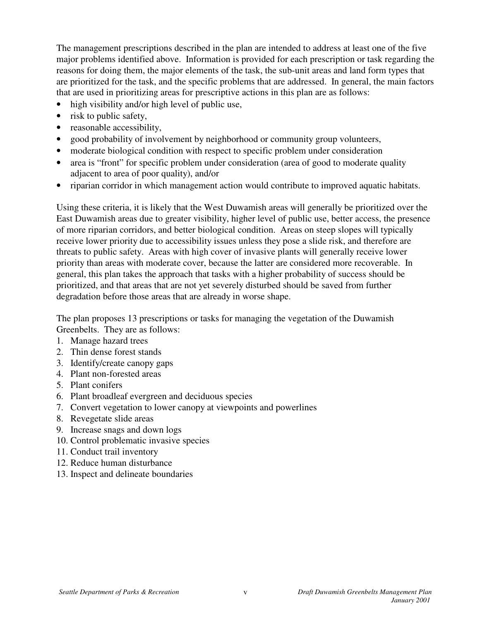The management prescriptions described in the plan are intended to address at least one of the five major problems identified above. Information is provided for each prescription or task regarding the reasons for doing them, the major elements of the task, the sub-unit areas and land form types that are prioritized for the task, and the specific problems that are addressed. In general, the main factors that are used in prioritizing areas for prescriptive actions in this plan are as follows:

- high visibility and/or high level of public use,
- risk to public safety,
- reasonable accessibility,
- good probability of involvement by neighborhood or community group volunteers,
- moderate biological condition with respect to specific problem under consideration
- area is "front" for specific problem under consideration (area of good to moderate quality adjacent to area of poor quality), and/or
- riparian corridor in which management action would contribute to improved aquatic habitats.

Using these criteria, it is likely that the West Duwamish areas will generally be prioritized over the East Duwamish areas due to greater visibility, higher level of public use, better access, the presence of more riparian corridors, and better biological condition. Areas on steep slopes will typically receive lower priority due to accessibility issues unless they pose a slide risk, and therefore are threats to public safety. Areas with high cover of invasive plants will generally receive lower priority than areas with moderate cover, because the latter are considered more recoverable. In general, this plan takes the approach that tasks with a higher probability of success should be prioritized, and that areas that are not yet severely disturbed should be saved from further degradation before those areas that are already in worse shape.

The plan proposes 13 prescriptions or tasks for managing the vegetation of the Duwamish Greenbelts. They are as follows:

- 1. Manage hazard trees
- 2. Thin dense forest stands
- 3. Identify/create canopy gaps
- 4. Plant non-forested areas
- 5. Plant conifers
- 6. Plant broadleaf evergreen and deciduous species
- 7. Convert vegetation to lower canopy at viewpoints and powerlines
- 8. Revegetate slide areas
- 9. Increase snags and down logs
- 10. Control problematic invasive species
- 11. Conduct trail inventory
- 12. Reduce human disturbance
- 13. Inspect and delineate boundaries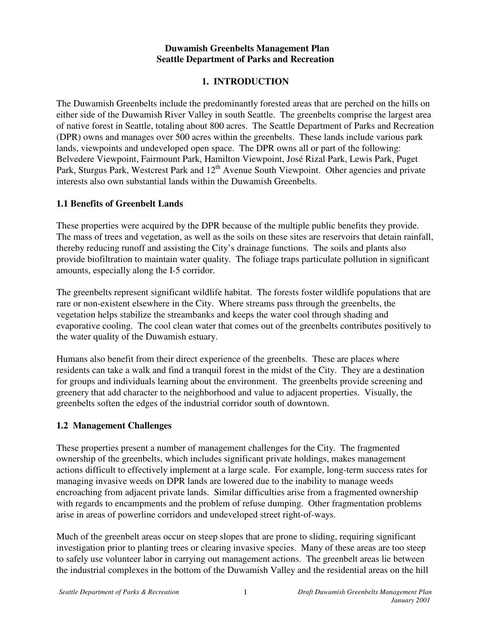## **Duwamish Greenbelts Management Plan Seattle Department of Parks and Recreation**

## **1. INTRODUCTION**

The Duwamish Greenbelts include the predominantly forested areas that are perched on the hills on either side of the Duwamish River Valley in south Seattle. The greenbelts comprise the largest area of native forest in Seattle, totaling about 800 acres. The Seattle Department of Parks and Recreation (DPR) owns and manages over 500 acres within the greenbelts. These lands include various park lands, viewpoints and undeveloped open space. The DPR owns all or part of the following: Belvedere Viewpoint, Fairmount Park, Hamilton Viewpoint, José Rizal Park, Lewis Park, Puget Park, Sturgus Park, Westcrest Park and 12<sup>th</sup> Avenue South Viewpoint. Other agencies and private interests also own substantial lands within the Duwamish Greenbelts.

### **1.1 Benefits of Greenbelt Lands**

These properties were acquired by the DPR because of the multiple public benefits they provide. The mass of trees and vegetation, as well as the soils on these sites are reservoirs that detain rainfall, thereby reducing runoff and assisting the City's drainage functions. The soils and plants also provide biofiltration to maintain water quality. The foliage traps particulate pollution in significant amounts, especially along the I-5 corridor.

The greenbelts represent significant wildlife habitat. The forests foster wildlife populations that are rare or non-existent elsewhere in the City. Where streams pass through the greenbelts, the vegetation helps stabilize the streambanks and keeps the water cool through shading and evaporative cooling. The cool clean water that comes out of the greenbelts contributes positively to the water quality of the Duwamish estuary.

Humans also benefit from their direct experience of the greenbelts. These are places where residents can take a walk and find a tranquil forest in the midst of the City. They are a destination for groups and individuals learning about the environment. The greenbelts provide screening and greenery that add character to the neighborhood and value to adjacent properties. Visually, the greenbelts soften the edges of the industrial corridor south of downtown.

### **1.2 Management Challenges**

These properties present a number of management challenges for the City. The fragmented ownership of the greenbelts, which includes significant private holdings, makes management actions difficult to effectively implement at a large scale. For example, long-term success rates for managing invasive weeds on DPR lands are lowered due to the inability to manage weeds encroaching from adjacent private lands. Similar difficulties arise from a fragmented ownership with regards to encampments and the problem of refuse dumping. Other fragmentation problems arise in areas of powerline corridors and undeveloped street right-of-ways.

Much of the greenbelt areas occur on steep slopes that are prone to sliding, requiring significant investigation prior to planting trees or clearing invasive species. Many of these areas are too steep to safely use volunteer labor in carrying out management actions. The greenbelt areas lie between the industrial complexes in the bottom of the Duwamish Valley and the residential areas on the hill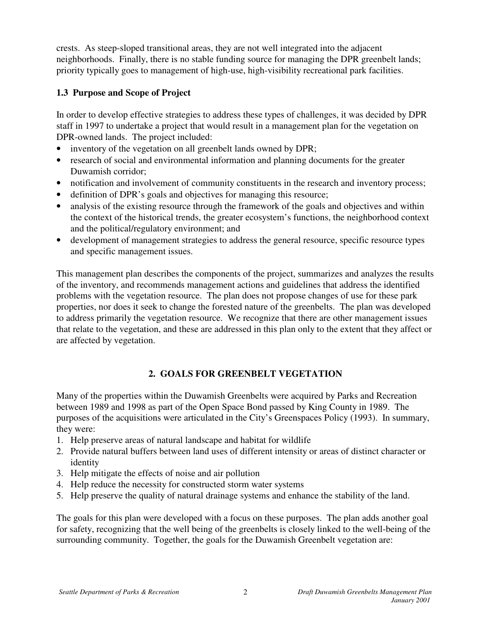crests. As steep-sloped transitional areas, they are not well integrated into the adjacent neighborhoods. Finally, there is no stable funding source for managing the DPR greenbelt lands; priority typically goes to management of high-use, high-visibility recreational park facilities.

## **1.3 Purpose and Scope of Project**

In order to develop effective strategies to address these types of challenges, it was decided by DPR staff in 1997 to undertake a project that would result in a management plan for the vegetation on DPR-owned lands. The project included:

- inventory of the vegetation on all greenbelt lands owned by DPR;
- research of social and environmental information and planning documents for the greater Duwamish corridor;
- notification and involvement of community constituents in the research and inventory process;
- definition of DPR's goals and objectives for managing this resource;
- analysis of the existing resource through the framework of the goals and objectives and within the context of the historical trends, the greater ecosystem's functions, the neighborhood context and the political/regulatory environment; and
- development of management strategies to address the general resource, specific resource types and specific management issues.

This management plan describes the components of the project, summarizes and analyzes the results of the inventory, and recommends management actions and guidelines that address the identified problems with the vegetation resource. The plan does not propose changes of use for these park properties, nor does it seek to change the forested nature of the greenbelts. The plan was developed to address primarily the vegetation resource. We recognize that there are other management issues that relate to the vegetation, and these are addressed in this plan only to the extent that they affect or are affected by vegetation.

### **2. GOALS FOR GREENBELT VEGETATION**

Many of the properties within the Duwamish Greenbelts were acquired by Parks and Recreation between 1989 and 1998 as part of the Open Space Bond passed by King County in 1989. The purposes of the acquisitions were articulated in the City's Greenspaces Policy (1993). In summary, they were:

- 1. Help preserve areas of natural landscape and habitat for wildlife
- 2. Provide natural buffers between land uses of different intensity or areas of distinct character or identity
- 3. Help mitigate the effects of noise and air pollution
- 4. Help reduce the necessity for constructed storm water systems
- 5. Help preserve the quality of natural drainage systems and enhance the stability of the land.

The goals for this plan were developed with a focus on these purposes. The plan adds another goal for safety, recognizing that the well being of the greenbelts is closely linked to the well-being of the surrounding community. Together, the goals for the Duwamish Greenbelt vegetation are: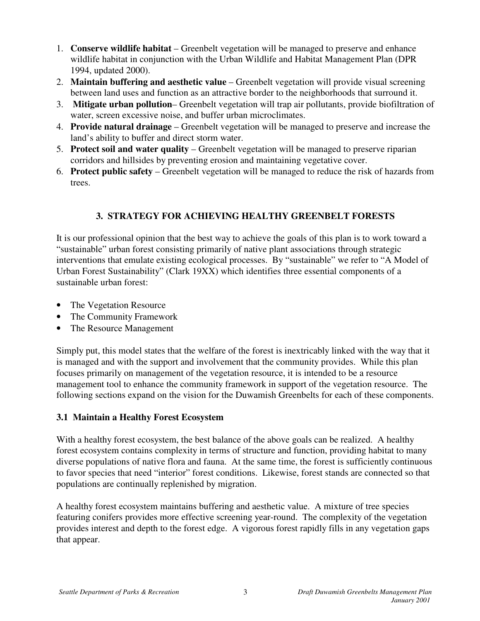- 1. **Conserve wildlife habitat** Greenbelt vegetation will be managed to preserve and enhance wildlife habitat in conjunction with the Urban Wildlife and Habitat Management Plan (DPR 1994, updated 2000).
- 2. **Maintain buffering and aesthetic value** Greenbelt vegetation will provide visual screening between land uses and function as an attractive border to the neighborhoods that surround it.
- 3. **Mitigate urban pollution** Greenbelt vegetation will trap air pollutants, provide biofiltration of water, screen excessive noise, and buffer urban microclimates.
- 4. **Provide natural drainage** Greenbelt vegetation will be managed to preserve and increase the land's ability to buffer and direct storm water.
- 5. **Protect soil and water quality** Greenbelt vegetation will be managed to preserve riparian corridors and hillsides by preventing erosion and maintaining vegetative cover.
- 6. **Protect public safety** Greenbelt vegetation will be managed to reduce the risk of hazards from trees.

## **3. STRATEGY FOR ACHIEVING HEALTHY GREENBELT FORESTS**

It is our professional opinion that the best way to achieve the goals of this plan is to work toward a "sustainable" urban forest consisting primarily of native plant associations through strategic interventions that emulate existing ecological processes. By "sustainable" we refer to "A Model of Urban Forest Sustainability" (Clark 19XX) which identifies three essential components of a sustainable urban forest:

- The Vegetation Resource
- The Community Framework
- The Resource Management

Simply put, this model states that the welfare of the forest is inextricably linked with the way that it is managed and with the support and involvement that the community provides. While this plan focuses primarily on management of the vegetation resource, it is intended to be a resource management tool to enhance the community framework in support of the vegetation resource. The following sections expand on the vision for the Duwamish Greenbelts for each of these components.

## **3.1 Maintain a Healthy Forest Ecosystem**

With a healthy forest ecosystem, the best balance of the above goals can be realized. A healthy forest ecosystem contains complexity in terms of structure and function, providing habitat to many diverse populations of native flora and fauna. At the same time, the forest is sufficiently continuous to favor species that need "interior" forest conditions. Likewise, forest stands are connected so that populations are continually replenished by migration.

A healthy forest ecosystem maintains buffering and aesthetic value. A mixture of tree species featuring conifers provides more effective screening year-round. The complexity of the vegetation provides interest and depth to the forest edge. A vigorous forest rapidly fills in any vegetation gaps that appear.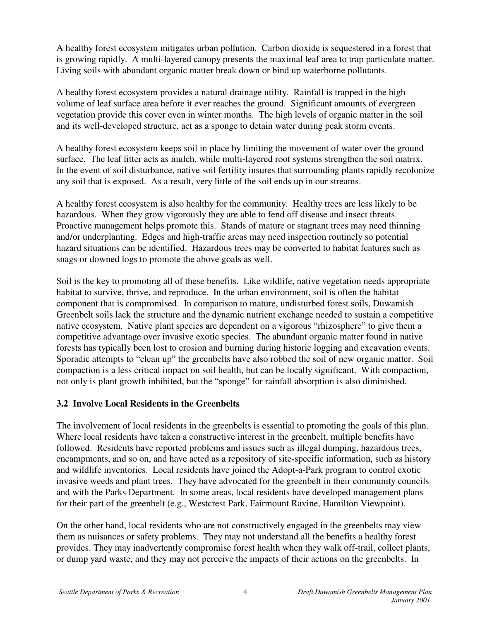A healthy forest ecosystem mitigates urban pollution. Carbon dioxide is sequestered in a forest that is growing rapidly. A multi-layered canopy presents the maximal leaf area to trap particulate matter. Living soils with abundant organic matter break down or bind up waterborne pollutants.

A healthy forest ecosystem provides a natural drainage utility. Rainfall is trapped in the high volume of leaf surface area before it ever reaches the ground. Significant amounts of evergreen vegetation provide this cover even in winter months. The high levels of organic matter in the soil and its well-developed structure, act as a sponge to detain water during peak storm events.

A healthy forest ecosystem keeps soil in place by limiting the movement of water over the ground surface. The leaf litter acts as mulch, while multi-layered root systems strengthen the soil matrix. In the event of soil disturbance, native soil fertility insures that surrounding plants rapidly recolonize any soil that is exposed. As a result, very little of the soil ends up in our streams.

A healthy forest ecosystem is also healthy for the community. Healthy trees are less likely to be hazardous. When they grow vigorously they are able to fend off disease and insect threats. Proactive management helps promote this. Stands of mature or stagnant trees may need thinning and/or underplanting. Edges and high-traffic areas may need inspection routinely so potential hazard situations can be identified. Hazardous trees may be converted to habitat features such as snags or downed logs to promote the above goals as well.

Soil is the key to promoting all of these benefits. Like wildlife, native vegetation needs appropriate habitat to survive, thrive, and reproduce. In the urban environment, soil is often the habitat component that is compromised. In comparison to mature, undisturbed forest soils, Duwamish Greenbelt soils lack the structure and the dynamic nutrient exchange needed to sustain a competitive native ecosystem. Native plant species are dependent on a vigorous "rhizosphere" to give them a competitive advantage over invasive exotic species. The abundant organic matter found in native forests has typically been lost to erosion and burning during historic logging and excavation events. Sporadic attempts to "clean up" the greenbelts have also robbed the soil of new organic matter. Soil compaction is a less critical impact on soil health, but can be locally significant. With compaction, not only is plant growth inhibited, but the "sponge" for rainfall absorption is also diminished.

### **3.2 Involve Local Residents in the Greenbelts**

The involvement of local residents in the greenbelts is essential to promoting the goals of this plan. Where local residents have taken a constructive interest in the greenbelt, multiple benefits have followed. Residents have reported problems and issues such as illegal dumping, hazardous trees, encampments, and so on, and have acted as a repository of site-specific information, such as history and wildlife inventories. Local residents have joined the Adopt-a-Park program to control exotic invasive weeds and plant trees. They have advocated for the greenbelt in their community councils and with the Parks Department. In some areas, local residents have developed management plans for their part of the greenbelt (e.g., Westcrest Park, Fairmount Ravine, Hamilton Viewpoint).

On the other hand, local residents who are not constructively engaged in the greenbelts may view them as nuisances or safety problems. They may not understand all the benefits a healthy forest provides. They may inadvertently compromise forest health when they walk off-trail, collect plants, or dump yard waste, and they may not perceive the impacts of their actions on the greenbelts. In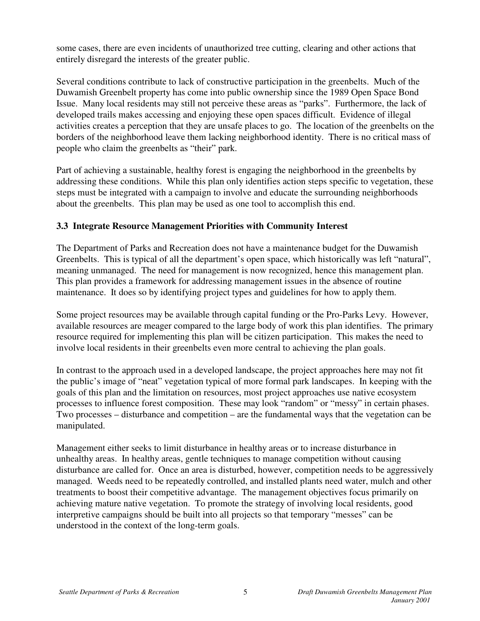some cases, there are even incidents of unauthorized tree cutting, clearing and other actions that entirely disregard the interests of the greater public.

Several conditions contribute to lack of constructive participation in the greenbelts. Much of the Duwamish Greenbelt property has come into public ownership since the 1989 Open Space Bond Issue. Many local residents may still not perceive these areas as "parks". Furthermore, the lack of developed trails makes accessing and enjoying these open spaces difficult. Evidence of illegal activities creates a perception that they are unsafe places to go. The location of the greenbelts on the borders of the neighborhood leave them lacking neighborhood identity. There is no critical mass of people who claim the greenbelts as "their" park.

Part of achieving a sustainable, healthy forest is engaging the neighborhood in the greenbelts by addressing these conditions. While this plan only identifies action steps specific to vegetation, these steps must be integrated with a campaign to involve and educate the surrounding neighborhoods about the greenbelts. This plan may be used as one tool to accomplish this end.

## **3.3 Integrate Resource Management Priorities with Community Interest**

The Department of Parks and Recreation does not have a maintenance budget for the Duwamish Greenbelts. This is typical of all the department's open space, which historically was left "natural", meaning unmanaged. The need for management is now recognized, hence this management plan. This plan provides a framework for addressing management issues in the absence of routine maintenance. It does so by identifying project types and guidelines for how to apply them.

Some project resources may be available through capital funding or the Pro-Parks Levy. However, available resources are meager compared to the large body of work this plan identifies. The primary resource required for implementing this plan will be citizen participation. This makes the need to involve local residents in their greenbelts even more central to achieving the plan goals.

In contrast to the approach used in a developed landscape, the project approaches here may not fit the public's image of "neat" vegetation typical of more formal park landscapes. In keeping with the goals of this plan and the limitation on resources, most project approaches use native ecosystem processes to influence forest composition. These may look "random" or "messy" in certain phases. Two processes – disturbance and competition – are the fundamental ways that the vegetation can be manipulated.

Management either seeks to limit disturbance in healthy areas or to increase disturbance in unhealthy areas. In healthy areas, gentle techniques to manage competition without causing disturbance are called for. Once an area is disturbed, however, competition needs to be aggressively managed. Weeds need to be repeatedly controlled, and installed plants need water, mulch and other treatments to boost their competitive advantage. The management objectives focus primarily on achieving mature native vegetation. To promote the strategy of involving local residents, good interpretive campaigns should be built into all projects so that temporary "messes" can be understood in the context of the long-term goals.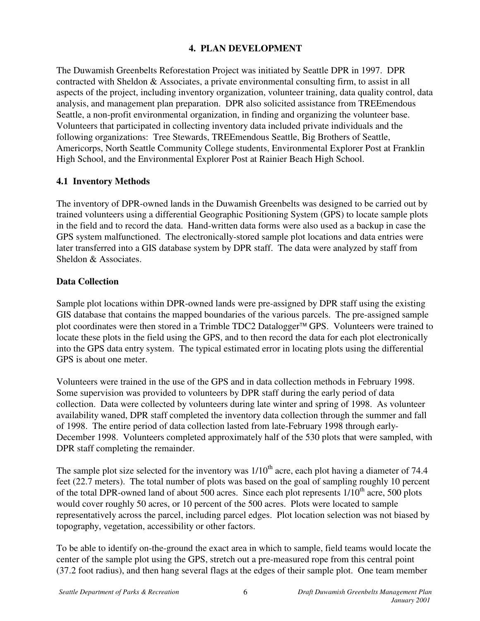## **4. PLAN DEVELOPMENT**

The Duwamish Greenbelts Reforestation Project was initiated by Seattle DPR in 1997. DPR contracted with Sheldon & Associates, a private environmental consulting firm, to assist in all aspects of the project, including inventory organization, volunteer training, data quality control, data analysis, and management plan preparation. DPR also solicited assistance from TREEmendous Seattle, a non-profit environmental organization, in finding and organizing the volunteer base. Volunteers that participated in collecting inventory data included private individuals and the following organizations: Tree Stewards, TREEmendous Seattle, Big Brothers of Seattle, Americorps, North Seattle Community College students, Environmental Explorer Post at Franklin High School, and the Environmental Explorer Post at Rainier Beach High School.

## **4.1 Inventory Methods**

The inventory of DPR-owned lands in the Duwamish Greenbelts was designed to be carried out by trained volunteers using a differential Geographic Positioning System (GPS) to locate sample plots in the field and to record the data. Hand-written data forms were also used as a backup in case the GPS system malfunctioned. The electronically-stored sample plot locations and data entries were later transferred into a GIS database system by DPR staff. The data were analyzed by staff from Sheldon & Associates.

## **Data Collection**

Sample plot locations within DPR-owned lands were pre-assigned by DPR staff using the existing GIS database that contains the mapped boundaries of the various parcels. The pre-assigned sample plot coordinates were then stored in a Trimble TDC2 Datalogger™ GPS. Volunteers were trained to locate these plots in the field using the GPS, and to then record the data for each plot electronically into the GPS data entry system. The typical estimated error in locating plots using the differential GPS is about one meter.

Volunteers were trained in the use of the GPS and in data collection methods in February 1998. Some supervision was provided to volunteers by DPR staff during the early period of data collection. Data were collected by volunteers during late winter and spring of 1998. As volunteer availability waned, DPR staff completed the inventory data collection through the summer and fall of 1998. The entire period of data collection lasted from late-February 1998 through early-December 1998. Volunteers completed approximately half of the 530 plots that were sampled, with DPR staff completing the remainder.

The sample plot size selected for the inventory was  $1/10<sup>th</sup>$  acre, each plot having a diameter of 74.4 feet (22.7 meters). The total number of plots was based on the goal of sampling roughly 10 percent of the total DPR-owned land of about 500 acres. Since each plot represents 1/10<sup>th</sup> acre, 500 plots would cover roughly 50 acres, or 10 percent of the 500 acres. Plots were located to sample representatively across the parcel, including parcel edges. Plot location selection was not biased by topography, vegetation, accessibility or other factors.

To be able to identify on-the-ground the exact area in which to sample, field teams would locate the center of the sample plot using the GPS, stretch out a pre-measured rope from this central point (37.2 foot radius), and then hang several flags at the edges of their sample plot. One team member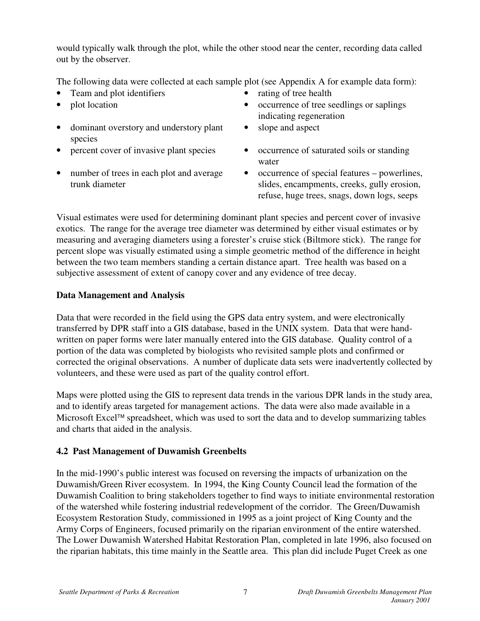would typically walk through the plot, while the other stood near the center, recording data called out by the observer.

The following data were collected at each sample plot (see Appendix A for example data form):

- Team and plot identifiers rating of tree health
- 
- dominant overstory and understory plant species
- 
- number of trees in each plot and average trunk diameter
- 
- plot location occurrence of tree seedlings or saplings indicating regeneration
	- slope and aspect
	- **•** occurrence of saturated soils or standing percent cover of invasive plant species occurrence of saturated soils or standing water
		- occurrence of special features powerlines, slides, encampments, creeks, gully erosion, refuse, huge trees, snags, down logs, seeps

Visual estimates were used for determining dominant plant species and percent cover of invasive exotics. The range for the average tree diameter was determined by either visual estimates or by measuring and averaging diameters using a forester's cruise stick (Biltmore stick). The range for percent slope was visually estimated using a simple geometric method of the difference in height between the two team members standing a certain distance apart. Tree health was based on a subjective assessment of extent of canopy cover and any evidence of tree decay.

## **Data Management and Analysis**

Data that were recorded in the field using the GPS data entry system, and were electronically transferred by DPR staff into a GIS database, based in the UNIX system. Data that were handwritten on paper forms were later manually entered into the GIS database. Quality control of a portion of the data was completed by biologists who revisited sample plots and confirmed or corrected the original observations. A number of duplicate data sets were inadvertently collected by volunteers, and these were used as part of the quality control effort.

Maps were plotted using the GIS to represent data trends in the various DPR lands in the study area, and to identify areas targeted for management actions. The data were also made available in a Microsoft Excel<sup> $TM$ </sup> spreadsheet, which was used to sort the data and to develop summarizing tables and charts that aided in the analysis.

## **4.2 Past Management of Duwamish Greenbelts**

In the mid-1990's public interest was focused on reversing the impacts of urbanization on the Duwamish/Green River ecosystem. In 1994, the King County Council lead the formation of the Duwamish Coalition to bring stakeholders together to find ways to initiate environmental restoration of the watershed while fostering industrial redevelopment of the corridor. The Green/Duwamish Ecosystem Restoration Study, commissioned in 1995 as a joint project of King County and the Army Corps of Engineers, focused primarily on the riparian environment of the entire watershed. The Lower Duwamish Watershed Habitat Restoration Plan, completed in late 1996, also focused on the riparian habitats, this time mainly in the Seattle area. This plan did include Puget Creek as one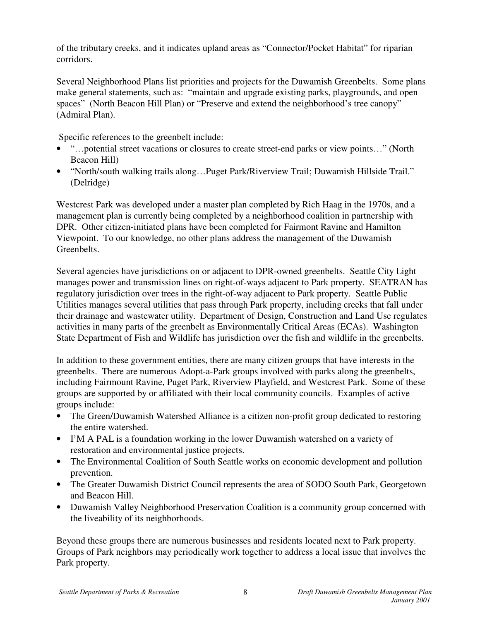of the tributary creeks, and it indicates upland areas as "Connector/Pocket Habitat" for riparian corridors.

Several Neighborhood Plans list priorities and projects for the Duwamish Greenbelts. Some plans make general statements, such as: "maintain and upgrade existing parks, playgrounds, and open spaces" (North Beacon Hill Plan) or "Preserve and extend the neighborhood's tree canopy" (Admiral Plan).

Specific references to the greenbelt include:

- "...potential street vacations or closures to create street-end parks or view points..." (North Beacon Hill)
- "North/south walking trails along…Puget Park/Riverview Trail; Duwamish Hillside Trail." (Delridge)

Westcrest Park was developed under a master plan completed by Rich Haag in the 1970s, and a management plan is currently being completed by a neighborhood coalition in partnership with DPR. Other citizen-initiated plans have been completed for Fairmont Ravine and Hamilton Viewpoint. To our knowledge, no other plans address the management of the Duwamish Greenbelts.

Several agencies have jurisdictions on or adjacent to DPR-owned greenbelts. Seattle City Light manages power and transmission lines on right-of-ways adjacent to Park property. SEATRAN has regulatory jurisdiction over trees in the right-of-way adjacent to Park property. Seattle Public Utilities manages several utilities that pass through Park property, including creeks that fall under their drainage and wastewater utility. Department of Design, Construction and Land Use regulates activities in many parts of the greenbelt as Environmentally Critical Areas (ECAs). Washington State Department of Fish and Wildlife has jurisdiction over the fish and wildlife in the greenbelts.

In addition to these government entities, there are many citizen groups that have interests in the greenbelts. There are numerous Adopt-a-Park groups involved with parks along the greenbelts, including Fairmount Ravine, Puget Park, Riverview Playfield, and Westcrest Park. Some of these groups are supported by or affiliated with their local community councils. Examples of active groups include:

- The Green/Duwamish Watershed Alliance is a citizen non-profit group dedicated to restoring the entire watershed.
- I'M A PAL is a foundation working in the lower Duwamish watershed on a variety of restoration and environmental justice projects.
- The Environmental Coalition of South Seattle works on economic development and pollution prevention.
- The Greater Duwamish District Council represents the area of SODO South Park, Georgetown and Beacon Hill.
- Duwamish Valley Neighborhood Preservation Coalition is a community group concerned with the liveability of its neighborhoods.

Beyond these groups there are numerous businesses and residents located next to Park property. Groups of Park neighbors may periodically work together to address a local issue that involves the Park property.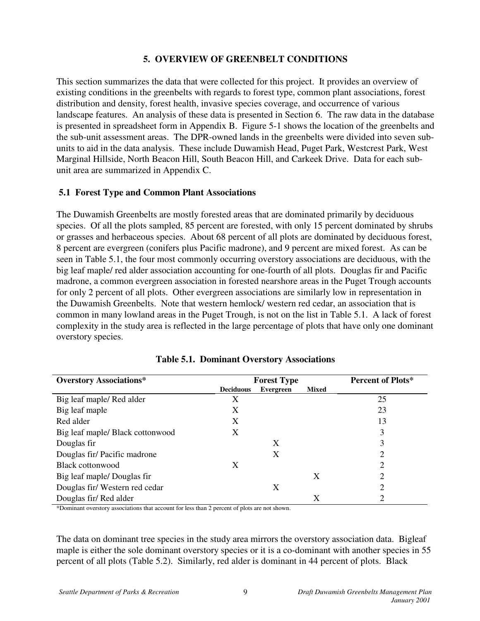#### **5. OVERVIEW OF GREENBELT CONDITIONS**

This section summarizes the data that were collected for this project. It provides an overview of existing conditions in the greenbelts with regards to forest type, common plant associations, forest distribution and density, forest health, invasive species coverage, and occurrence of various landscape features. An analysis of these data is presented in Section 6. The raw data in the database is presented in spreadsheet form in Appendix B. Figure 5-1 shows the location of the greenbelts and the sub-unit assessment areas. The DPR-owned lands in the greenbelts were divided into seven subunits to aid in the data analysis. These include Duwamish Head, Puget Park, Westcrest Park, West Marginal Hillside, North Beacon Hill, South Beacon Hill, and Carkeek Drive. Data for each subunit area are summarized in Appendix C.

### **5.1 Forest Type and Common Plant Associations**

The Duwamish Greenbelts are mostly forested areas that are dominated primarily by deciduous species. Of all the plots sampled, 85 percent are forested, with only 15 percent dominated by shrubs or grasses and herbaceous species. About 68 percent of all plots are dominated by deciduous forest, 8 percent are evergreen (conifers plus Pacific madrone), and 9 percent are mixed forest. As can be seen in Table 5.1, the four most commonly occurring overstory associations are deciduous, with the big leaf maple/ red alder association accounting for one-fourth of all plots. Douglas fir and Pacific madrone, a common evergreen association in forested nearshore areas in the Puget Trough accounts for only 2 percent of all plots. Other evergreen associations are similarly low in representation in the Duwamish Greenbelts. Note that western hemlock/ western red cedar, an association that is common in many lowland areas in the Puget Trough, is not on the list in Table 5.1. A lack of forest complexity in the study area is reflected in the large percentage of plots that have only one dominant overstory species.

| <b>Overstory Associations*</b>   | <b>Forest Type</b> |           | Percent of Plots* |    |
|----------------------------------|--------------------|-----------|-------------------|----|
|                                  | <b>Deciduous</b>   | Evergreen | <b>Mixed</b>      |    |
| Big leaf maple/Red alder         | X                  |           |                   | 25 |
| Big leaf maple                   | X                  |           |                   | 23 |
| Red alder                        | X                  |           |                   | 13 |
| Big leaf maple/ Black cottonwood | X                  |           |                   | 3  |
| Douglas fir                      |                    | X         |                   | 3  |
| Douglas fir/Pacific madrone      |                    | X         |                   | ∍  |
| Black cottonwood                 | X                  |           |                   | ↑  |
| Big leaf maple/ Douglas fir      |                    |           | X                 | ∍  |
| Douglas fir/Western red cedar    |                    | X         |                   | ∍  |
| Douglas fir/Red alder            |                    |           | Х                 |    |

|  |  |  | <b>Table 5.1. Dominant Overstory Associations</b> |
|--|--|--|---------------------------------------------------|
|--|--|--|---------------------------------------------------|

\*Dominant overstory associations that account for less than 2 percent of plots are not shown.

The data on dominant tree species in the study area mirrors the overstory association data. Bigleaf maple is either the sole dominant overstory species or it is a co-dominant with another species in 55 percent of all plots (Table 5.2). Similarly, red alder is dominant in 44 percent of plots. Black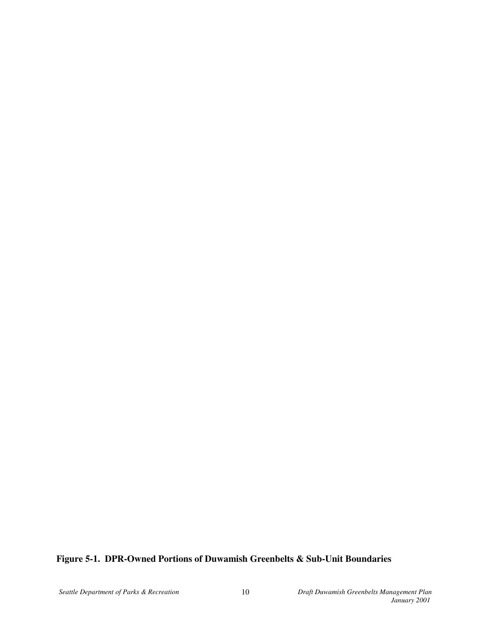## **Figure 5-1. DPR-Owned Portions of Duwamish Greenbelts & Sub-Unit Boundaries**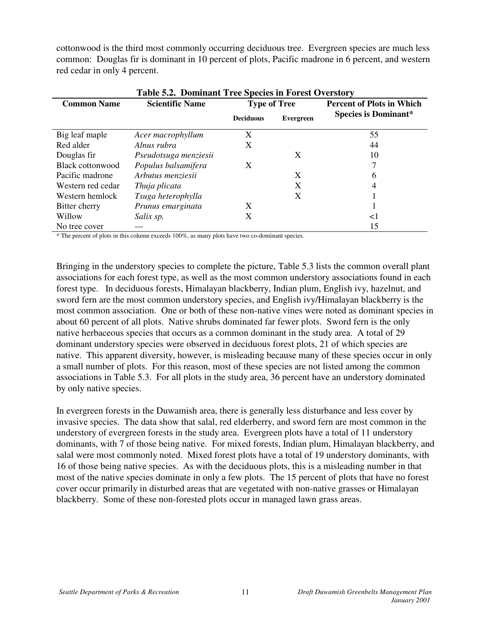cottonwood is the third most commonly occurring deciduous tree. Evergreen species are much less common: Douglas fir is dominant in 10 percent of plots, Pacific madrone in 6 percent, and western red cedar in only 4 percent.

| Table 5.2. Dominiant Tree Species in Forest Overstory |                        |                     |           |                                  |  |  |
|-------------------------------------------------------|------------------------|---------------------|-----------|----------------------------------|--|--|
| <b>Common Name</b>                                    | <b>Scientific Name</b> | <b>Type of Tree</b> |           | <b>Percent of Plots in Which</b> |  |  |
|                                                       |                        | <b>Deciduous</b>    | Evergreen | <b>Species is Dominant*</b>      |  |  |
| Big leaf maple                                        | Acer macrophyllum      | X                   |           | 55                               |  |  |
| Red alder                                             | Alnus rubra            | X                   |           | 44                               |  |  |
| Douglas fir                                           | Pseudotsuga menziesii  |                     | X         | 10                               |  |  |
| <b>Black cottonwood</b>                               | Populus balsamifera    | X                   |           |                                  |  |  |
| Pacific madrone                                       | Arbutus menziesii      |                     | X         | 6                                |  |  |
| Western red cedar                                     | Thuja plicata          |                     | X         | 4                                |  |  |
| Western hemlock                                       | Tsuga heterophylla     |                     | Х         |                                  |  |  |
| Bitter cherry                                         | Prunus emarginata      | X                   |           |                                  |  |  |
| Willow                                                | Salix sp.              | X                   |           | $<$ l                            |  |  |
| No tree cover                                         |                        |                     |           | 15                               |  |  |

# **Table 5.2. Dominant Tree Species in Forest Overstory**

\* The percent of plots in this column exceeds 100%, as many plots have two co-dominant species.

Bringing in the understory species to complete the picture, Table 5.3 lists the common overall plant associations for each forest type, as well as the most common understory associations found in each forest type. In deciduous forests, Himalayan blackberry, Indian plum, English ivy, hazelnut, and sword fern are the most common understory species, and English ivy/Himalayan blackberry is the most common association. One or both of these non-native vines were noted as dominant species in about 60 percent of all plots. Native shrubs dominated far fewer plots. Sword fern is the only native herbaceous species that occurs as a common dominant in the study area. A total of 29 dominant understory species were observed in deciduous forest plots, 21 of which species are native. This apparent diversity, however, is misleading because many of these species occur in only a small number of plots. For this reason, most of these species are not listed among the common associations in Table 5.3. For all plots in the study area, 36 percent have an understory dominated by only native species.

In evergreen forests in the Duwamish area, there is generally less disturbance and less cover by invasive species. The data show that salal, red elderberry, and sword fern are most common in the understory of evergreen forests in the study area. Evergreen plots have a total of 11 understory dominants, with 7 of those being native. For mixed forests, Indian plum, Himalayan blackberry, and salal were most commonly noted. Mixed forest plots have a total of 19 understory dominants, with 16 of those being native species. As with the deciduous plots, this is a misleading number in that most of the native species dominate in only a few plots. The 15 percent of plots that have no forest cover occur primarily in disturbed areas that are vegetated with non-native grasses or Himalayan blackberry. Some of these non-forested plots occur in managed lawn grass areas.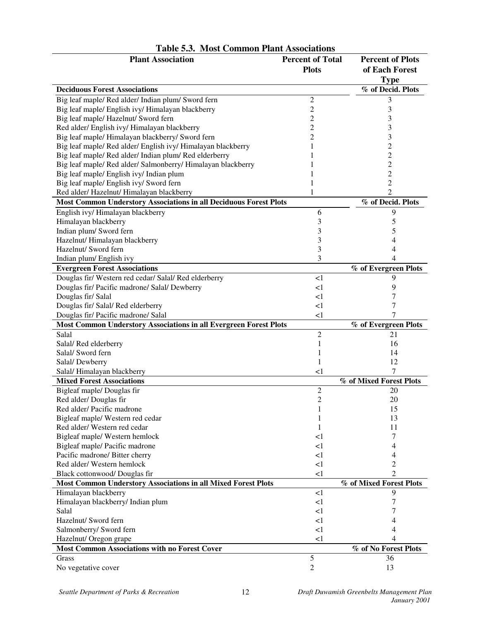| <b>Plant Association</b>                                                 | <b>Percent of Total</b><br><b>Plots</b> | <b>Percent of Plots</b><br>of Each Forest |
|--------------------------------------------------------------------------|-----------------------------------------|-------------------------------------------|
|                                                                          |                                         | <b>Type</b>                               |
| <b>Deciduous Forest Associations</b>                                     |                                         | % of Decid. Plots                         |
| Big leaf maple/ Red alder/ Indian plum/ Sword fern                       | $\overline{c}$                          | 3                                         |
| Big leaf maple/ English ivy/ Himalayan blackberry                        | $\overline{c}$                          | 3                                         |
| Big leaf maple/ Hazelnut/ Sword fern                                     | $\overline{c}$                          | 3                                         |
| Red alder/ English ivy/ Himalayan blackberry                             | $\overline{c}$                          | 3                                         |
| Big leaf maple/ Himalayan blackberry/ Sword fern                         | $\overline{c}$                          | 3                                         |
| Big leaf maple/ Red alder/ English ivy/ Himalayan blackberry             | $\mathbf{1}$                            | $\overline{c}$                            |
| Big leaf maple/ Red alder/ Indian plum/ Red elderberry                   |                                         | $\overline{c}$                            |
| Big leaf maple/ Red alder/ Salmonberry/ Himalayan blackberry             |                                         | $\overline{c}$                            |
| Big leaf maple/ English ivy/ Indian plum                                 |                                         | $\overline{c}$                            |
| Big leaf maple/ English ivy/ Sword fern                                  | 1                                       | $\overline{c}$                            |
| Red alder/ Hazelnut/ Himalayan blackberry                                |                                         | $\overline{2}$                            |
| Most Common Understory Associations in all Deciduous Forest Plots        |                                         | % of Decid. Plots                         |
| English ivy/ Himalayan blackberry                                        | 6                                       | 9                                         |
| Himalayan blackberry                                                     | 3                                       | 5                                         |
| Indian plum/Sword fern                                                   | 3                                       | 5                                         |
| Hazelnut/Himalayan blackberry                                            | 3                                       | 4                                         |
| Hazelnut/ Sword fern                                                     | 3                                       | 4                                         |
| Indian plum/English ivy                                                  | 3                                       | 4                                         |
| <b>Evergreen Forest Associations</b>                                     |                                         | % of Evergreen Plots                      |
| Douglas fir/ Western red cedar/ Salal/ Red elderberry                    | $\leq$ 1                                | 9                                         |
| Douglas fir/ Pacific madrone/ Salal/ Dewberry                            | $\leq$ 1                                | 9                                         |
| Douglas fir/Salal                                                        | <1                                      | 7                                         |
| Douglas fir/ Salal/Red elderberry                                        | $\leq$ 1                                | 7                                         |
| Douglas fir/ Pacific madrone/ Salal                                      | $\leq$ 1                                | 7                                         |
| <b>Most Common Understory Associations in all Evergreen Forest Plots</b> |                                         | % of Evergreen Plots                      |
| Salal                                                                    | $\overline{c}$                          | 21                                        |
| Salal/Red elderberry                                                     | 1                                       | 16                                        |
| Salal/ Sword fern                                                        |                                         | 14                                        |
| Salal/Dewberry                                                           | 1                                       | 12                                        |
| Salal/Himalayan blackberry                                               | <1                                      | 7                                         |
| <b>Mixed Forest Associations</b>                                         |                                         | % of Mixed Forest Plots                   |
| Bigleaf maple/Douglas fir                                                | $\overline{c}$                          | 20                                        |
| Red alder/Douglas fir                                                    | $\overline{c}$                          | 20                                        |
| Red alder/Pacific madrone                                                | $\mathbf{1}$                            | 15                                        |
| Bigleaf maple/ Western red cedar                                         | 1                                       | 13                                        |
| Red alder/Western red cedar                                              | 1                                       | 11                                        |
| Bigleaf maple/ Western hemlock                                           | $\leq$ 1                                | 7                                         |
| Bigleaf maple/ Pacific madrone                                           | <1                                      | 4                                         |
| Pacific madrone/ Bitter cherry                                           | $\leq$ 1                                | 4                                         |
| Red alder/Western hemlock                                                | <1                                      | 2                                         |
| Black cottonwood/ Douglas fir                                            | $\leq$ 1                                | 2                                         |
| Most Common Understory Associations in all Mixed Forest Plots            |                                         | % of Mixed Forest Plots                   |
| Himalayan blackberry                                                     | <1                                      | 9                                         |
| Himalayan blackberry/ Indian plum                                        | <1                                      | 7                                         |
| Salal                                                                    | <1                                      | 7                                         |
| Hazelnut/ Sword fern                                                     | <1                                      | 4                                         |
| Salmonberry/ Sword fern                                                  | $\leq$ 1                                | 4                                         |
| Hazelnut/ Oregon grape                                                   | <1                                      |                                           |
| <b>Most Common Associations with no Forest Cover</b>                     |                                         | % of No Forest Plots                      |
| Grass                                                                    | 5                                       | 36                                        |
| No vegetative cover                                                      | $\overline{2}$                          | 13                                        |

## **Table 5.3. Most Common Plant Associations**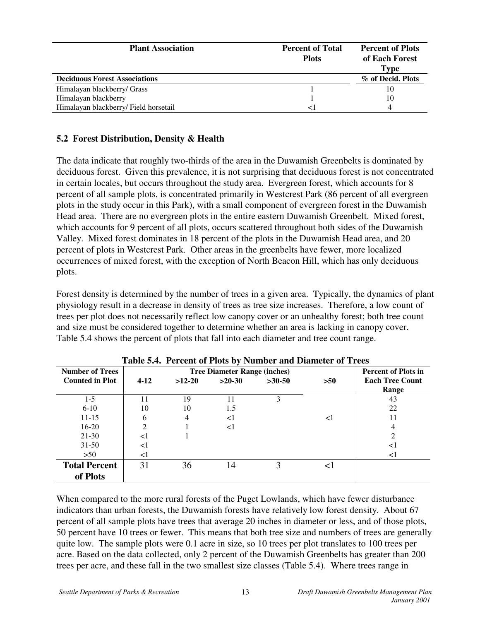| <b>Plant Association</b>              | <b>Percent of Total</b><br><b>Plots</b> | <b>Percent of Plots</b><br>of Each Forest<br>Type |
|---------------------------------------|-----------------------------------------|---------------------------------------------------|
| <b>Deciduous Forest Associations</b>  |                                         | % of Decid. Plots                                 |
| Himalayan blackberry/ Grass           |                                         | 10                                                |
| Himalayan blackberry                  |                                         | 10                                                |
| Himalayan blackberry/ Field horsetail |                                         |                                                   |

## **5.2 Forest Distribution, Density & Health**

The data indicate that roughly two-thirds of the area in the Duwamish Greenbelts is dominated by deciduous forest. Given this prevalence, it is not surprising that deciduous forest is not concentrated in certain locales, but occurs throughout the study area. Evergreen forest, which accounts for 8 percent of all sample plots, is concentrated primarily in Westcrest Park (86 percent of all evergreen plots in the study occur in this Park), with a small component of evergreen forest in the Duwamish Head area. There are no evergreen plots in the entire eastern Duwamish Greenbelt. Mixed forest, which accounts for 9 percent of all plots, occurs scattered throughout both sides of the Duwamish Valley. Mixed forest dominates in 18 percent of the plots in the Duwamish Head area, and 20 percent of plots in Westcrest Park. Other areas in the greenbelts have fewer, more localized occurrences of mixed forest, with the exception of North Beacon Hill, which has only deciduous plots.

Forest density is determined by the number of trees in a given area. Typically, the dynamics of plant physiology result in a decrease in density of trees as tree size increases. Therefore, a low count of trees per plot does not necessarily reflect low canopy cover or an unhealthy forest; both tree count and size must be considered together to determine whether an area is lacking in canopy cover. Table 5.4 shows the percent of plots that fall into each diameter and tree count range.

| <b>Number of Trees</b> | <b>Tree Diameter Range (inches)</b> |          |          |          | <b>Percent of Plots in</b> |                        |
|------------------------|-------------------------------------|----------|----------|----------|----------------------------|------------------------|
| <b>Counted in Plot</b> | $4-12$                              | $>12-20$ | $>20-30$ | $>30-50$ | >50                        | <b>Each Tree Count</b> |
|                        |                                     |          |          |          |                            | Range                  |
| $1-5$                  | 11                                  | 19       | 11       | 3        |                            | 43                     |
| $6 - 10$               | 10                                  | 10       | 1.5      |          |                            | 22                     |
| $11 - 15$              | 6                                   | 4        | $\leq$ 1 |          | <1                         | 11                     |
| $16 - 20$              | $\mathcal{D}_{\mathcal{L}}$         |          | $\leq$ 1 |          |                            | 4                      |
| 21-30                  | $<$ 1                               |          |          |          |                            | $\mathcal{D}$          |
| $31 - 50$              | $<$ 1                               |          |          |          |                            | $\leq$                 |
| $>50$                  | $<$ 1                               |          |          |          |                            | $\leq$ 1               |
| <b>Total Percent</b>   | 31                                  | 36       | 14       | 3        | $\leq$                     |                        |
| of Plots               |                                     |          |          |          |                            |                        |

**Table 5.4. Percent of Plots by Number and Diameter of Trees**

When compared to the more rural forests of the Puget Lowlands, which have fewer disturbance indicators than urban forests, the Duwamish forests have relatively low forest density. About 67 percent of all sample plots have trees that average 20 inches in diameter or less, and of those plots, 50 percent have 10 trees or fewer. This means that both tree size and numbers of trees are generally quite low. The sample plots were 0.1 acre in size, so 10 trees per plot translates to 100 trees per acre. Based on the data collected, only 2 percent of the Duwamish Greenbelts has greater than 200 trees per acre, and these fall in the two smallest size classes (Table 5.4). Where trees range in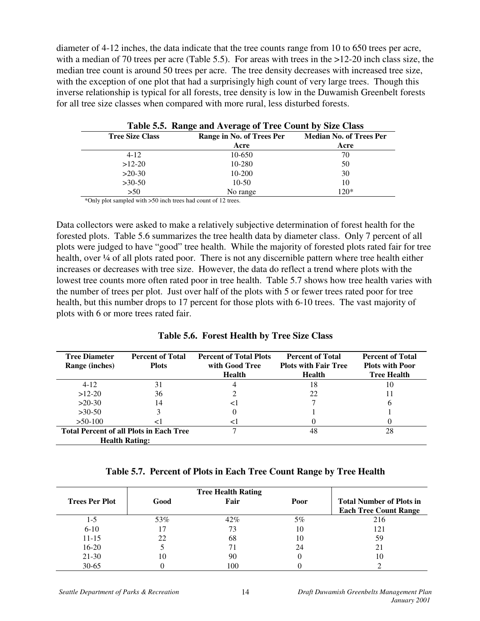diameter of 4-12 inches, the data indicate that the tree counts range from 10 to 650 trees per acre, with a median of 70 trees per acre (Table 5.5). For areas with trees in the  $>12-20$  inch class size, the median tree count is around 50 trees per acre. The tree density decreases with increased tree size, with the exception of one plot that had a surprisingly high count of very large trees. Though this inverse relationship is typical for all forests, tree density is low in the Duwamish Greenbelt forests for all tree size classes when compared with more rural, less disturbed forests.

|                        | Table 5.5. Range and Average of Tree Count by Size Class |                                |  |  |  |  |
|------------------------|----------------------------------------------------------|--------------------------------|--|--|--|--|
| <b>Tree Size Class</b> | Range in No. of Trees Per                                | <b>Median No. of Trees Per</b> |  |  |  |  |
|                        | Acre                                                     | Acre                           |  |  |  |  |
| $4 - 12$               | 10-650                                                   | 70                             |  |  |  |  |
| $>12-20$               | 10-280                                                   | 50                             |  |  |  |  |
| $>20-30$               | 10-200                                                   | 30                             |  |  |  |  |
| $>30-50$               | $10-50$                                                  | 10                             |  |  |  |  |
| >50                    | No range                                                 | $120*$                         |  |  |  |  |

**Table 5.5. Range and Average of Tree Count by Size Class**

\*Only plot sampled with >50 inch trees had count of 12 trees.

Data collectors were asked to make a relatively subjective determination of forest health for the forested plots. Table 5.6 summarizes the tree health data by diameter class. Only 7 percent of all plots were judged to have "good" tree health. While the majority of forested plots rated fair for tree health, over ¼ of all plots rated poor. There is not any discernible pattern where tree health either increases or decreases with tree size. However, the data do reflect a trend where plots with the lowest tree counts more often rated poor in tree health. Table 5.7 shows how tree health varies with the number of trees per plot. Just over half of the plots with 5 or fewer trees rated poor for tree health, but this number drops to 17 percent for those plots with 6-10 trees. The vast majority of plots with 6 or more trees rated fair.

| <b>Tree Diameter</b><br>Range (inches) | <b>Percent of Total</b><br><b>Plots</b>                                 | <b>Percent of Total Plots</b><br>with Good Tree<br><b>Health</b> | <b>Percent of Total</b><br><b>Plots with Fair Tree</b><br><b>Health</b> | <b>Percent of Total</b><br><b>Plots with Poor</b><br><b>Tree Health</b> |
|----------------------------------------|-------------------------------------------------------------------------|------------------------------------------------------------------|-------------------------------------------------------------------------|-------------------------------------------------------------------------|
| $4-12$                                 | 31                                                                      |                                                                  | 18                                                                      | 10                                                                      |
| $>12-20$                               | 36                                                                      |                                                                  | 22                                                                      |                                                                         |
| $>20-30$                               | 14                                                                      | $\leq$                                                           |                                                                         | b                                                                       |
| $>30-50$                               |                                                                         |                                                                  |                                                                         |                                                                         |
| $>50-100$                              | $\,<\,$                                                                 | ⊂ I                                                              |                                                                         |                                                                         |
|                                        | <b>Total Percent of all Plots in Each Tree</b><br><b>Health Rating:</b> |                                                                  | 48                                                                      | 28                                                                      |

#### **Table 5.7. Percent of Plots in Each Tree Count Range by Tree Health**

|                       |      | <b>Tree Health Rating</b> |       |                                                                 |
|-----------------------|------|---------------------------|-------|-----------------------------------------------------------------|
| <b>Trees Per Plot</b> | Good | Fair                      | Poor  | <b>Total Number of Plots in</b><br><b>Each Tree Count Range</b> |
| $1-5$                 | 53%  | 42%                       | $5\%$ | 216                                                             |
| $6 - 10$              |      |                           | 10    | 121                                                             |
| $11 - 15$             | 22   | 68                        | 10    | 59                                                              |
| $16 - 20$             |      |                           | 24    | 21                                                              |
| 21-30                 | 10   | 90                        |       | 10                                                              |
| $30 - 65$             |      | 100                       |       |                                                                 |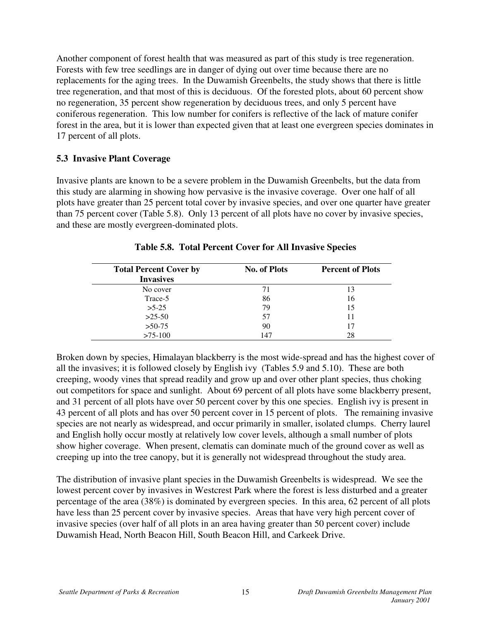Another component of forest health that was measured as part of this study is tree regeneration. Forests with few tree seedlings are in danger of dying out over time because there are no replacements for the aging trees. In the Duwamish Greenbelts, the study shows that there is little tree regeneration, and that most of this is deciduous. Of the forested plots, about 60 percent show no regeneration, 35 percent show regeneration by deciduous trees, and only 5 percent have coniferous regeneration. This low number for conifers is reflective of the lack of mature conifer forest in the area, but it is lower than expected given that at least one evergreen species dominates in 17 percent of all plots.

### **5.3 Invasive Plant Coverage**

Invasive plants are known to be a severe problem in the Duwamish Greenbelts, but the data from this study are alarming in showing how pervasive is the invasive coverage. Over one half of all plots have greater than 25 percent total cover by invasive species, and over one quarter have greater than 75 percent cover (Table 5.8). Only 13 percent of all plots have no cover by invasive species, and these are mostly evergreen-dominated plots.

| <b>Total Percent Cover by</b> | <b>No. of Plots</b> | <b>Percent of Plots</b> |
|-------------------------------|---------------------|-------------------------|
| <b>Invasives</b>              |                     |                         |
| No cover                      | 71                  |                         |
| Trace-5                       | 86                  | 16                      |
| $>5-25$                       | 79                  | 15                      |
| $>25-50$                      | 57                  |                         |
| $>50-75$                      | 90                  | 17                      |
| $>75-100$                     | 147                 | 28                      |

**Table 5.8. Total Percent Cover for All Invasive Species**

Broken down by species, Himalayan blackberry is the most wide-spread and has the highest cover of all the invasives; it is followed closely by English ivy (Tables 5.9 and 5.10). These are both creeping, woody vines that spread readily and grow up and over other plant species, thus choking out competitors for space and sunlight. About 69 percent of all plots have some blackberry present, and 31 percent of all plots have over 50 percent cover by this one species. English ivy is present in 43 percent of all plots and has over 50 percent cover in 15 percent of plots. The remaining invasive species are not nearly as widespread, and occur primarily in smaller, isolated clumps. Cherry laurel and English holly occur mostly at relatively low cover levels, although a small number of plots show higher coverage. When present, clematis can dominate much of the ground cover as well as creeping up into the tree canopy, but it is generally not widespread throughout the study area.

The distribution of invasive plant species in the Duwamish Greenbelts is widespread. We see the lowest percent cover by invasives in Westcrest Park where the forest is less disturbed and a greater percentage of the area (38%) is dominated by evergreen species. In this area, 62 percent of all plots have less than 25 percent cover by invasive species. Areas that have very high percent cover of invasive species (over half of all plots in an area having greater than 50 percent cover) include Duwamish Head, North Beacon Hill, South Beacon Hill, and Carkeek Drive.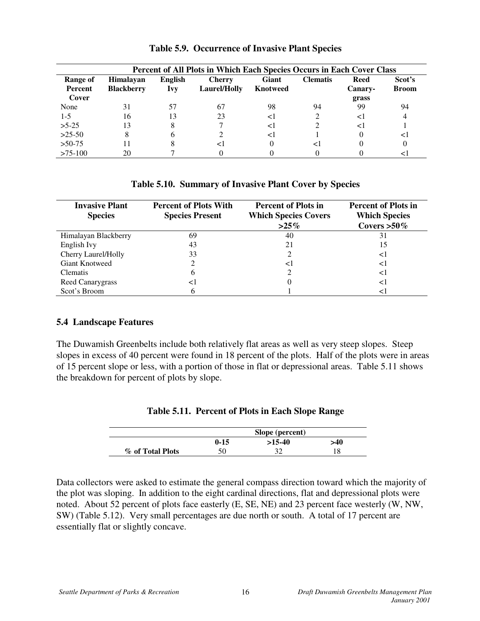| Percent of All Plots in Which Each Species Occurs in Each Cover Class |                                       |                              |                               |                                 |                 |                        |                        |
|-----------------------------------------------------------------------|---------------------------------------|------------------------------|-------------------------------|---------------------------------|-----------------|------------------------|------------------------|
| Range of<br>Percent                                                   | <b>Himalayan</b><br><b>Blackberry</b> | <b>English</b><br><b>Ivy</b> | <b>Cherry</b><br>Laurel/Holly | <b>Giant</b><br><b>Knotweed</b> | <b>Clematis</b> | <b>Reed</b><br>Canary- | Scot's<br><b>Broom</b> |
| Cover                                                                 |                                       |                              |                               |                                 |                 | grass                  |                        |
| None                                                                  | 31                                    | 57                           | 67                            | 98                              | 94              | 99                     | 94                     |
| $1-5$                                                                 | 16                                    | 13                           | 23                            | <1                              |                 | $\leq$                 |                        |
| $>5-25$                                                               | 13                                    |                              |                               | $\leq$ 1                        |                 | $\leq$ 1               |                        |
| $>25-50$                                                              | 8                                     |                              |                               | ⊲                               |                 |                        | $\leq$ 1               |
| $>50-75$                                                              | 11                                    |                              | $\leq$ 1                      |                                 | <1              |                        | 0                      |
| $>75-100$                                                             | 20                                    |                              |                               |                                 |                 |                        |                        |

**Table 5.9. Occurrence of Invasive Plant Species**

#### **Table 5.10. Summary of Invasive Plant Cover by Species**

| <b>Invasive Plant</b><br><b>Species</b> | <b>Percent of Plots With</b><br><b>Species Present</b> | <b>Percent of Plots in</b><br><b>Which Species Covers</b><br>$>25\%$ | <b>Percent of Plots in</b><br><b>Which Species</b><br>Covers $>50\%$ |
|-----------------------------------------|--------------------------------------------------------|----------------------------------------------------------------------|----------------------------------------------------------------------|
| Himalayan Blackberry                    | 69                                                     | 40                                                                   | 31                                                                   |
| English Ivy                             | 43                                                     | 21                                                                   | 15                                                                   |
| Cherry Laurel/Holly                     | 33                                                     |                                                                      | $\leq$                                                               |
| Giant Knotweed                          |                                                        | $\leq$                                                               | $\leq$                                                               |
| Clematis                                | h                                                      |                                                                      | <1                                                                   |
| <b>Reed Canarygrass</b>                 | < ।                                                    | $\theta$                                                             | < ا                                                                  |
| Scot's Broom                            |                                                        |                                                                      |                                                                      |

#### **5.4 Landscape Features**

The Duwamish Greenbelts include both relatively flat areas as well as very steep slopes. Steep slopes in excess of 40 percent were found in 18 percent of the plots. Half of the plots were in areas of 15 percent slope or less, with a portion of those in flat or depressional areas. Table 5.11 shows the breakdown for percent of plots by slope.

| Table 5.11. Percent of Plots in Each Slope Range |  |
|--------------------------------------------------|--|
|                                                  |  |

|                  | Slope (percent) |          |     |
|------------------|-----------------|----------|-----|
|                  | $0 - 15$        | $>15-40$ | >40 |
| % of Total Plots | 50              |          |     |

Data collectors were asked to estimate the general compass direction toward which the majority of the plot was sloping. In addition to the eight cardinal directions, flat and depressional plots were noted. About 52 percent of plots face easterly (E, SE, NE) and 23 percent face westerly (W, NW, SW) (Table 5.12). Very small percentages are due north or south. A total of 17 percent are essentially flat or slightly concave.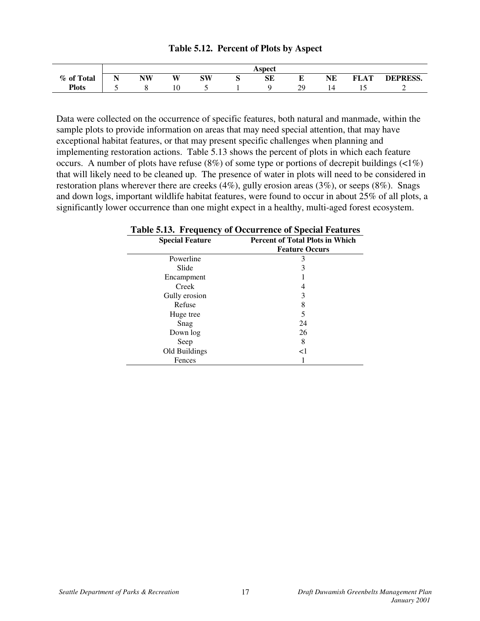|              |   |           |    |           | Aspect |    |    |             |                 |
|--------------|---|-----------|----|-----------|--------|----|----|-------------|-----------------|
| % of Total   | N | <b>NW</b> | W  | <b>SW</b> | SE     | E  | NE | <b>FLAT</b> | <b>DEPRESS.</b> |
| <b>Plots</b> |   |           | 10 |           |        | 29 | 14 |             |                 |

#### **Table 5.12. Percent of Plots by Aspect**

Data were collected on the occurrence of specific features, both natural and manmade, within the sample plots to provide information on areas that may need special attention, that may have exceptional habitat features, or that may present specific challenges when planning and implementing restoration actions. Table 5.13 shows the percent of plots in which each feature occurs. A number of plots have refuse  $(8\%)$  of some type or portions of decrepit buildings  $(2\%)$ that will likely need to be cleaned up. The presence of water in plots will need to be considered in restoration plans wherever there are creeks (4%), gully erosion areas (3%), or seeps (8%). Snags and down logs, important wildlife habitat features, were found to occur in about 25% of all plots, a significantly lower occurrence than one might expect in a healthy, multi-aged forest ecosystem.

#### **Special Feature Percent of Total Plots in Which Feature Occurs** Powerline 3<br>Slide 3 Slide 3 Encampment 1 Creek 4 Gully erosion 3 Refuse 8 Huge tree 5 Snag 24 Down log 26 Seep 8 Old Buildings <1 Fences 1

#### **Table 5.13. Frequency of Occurrence of Special Features**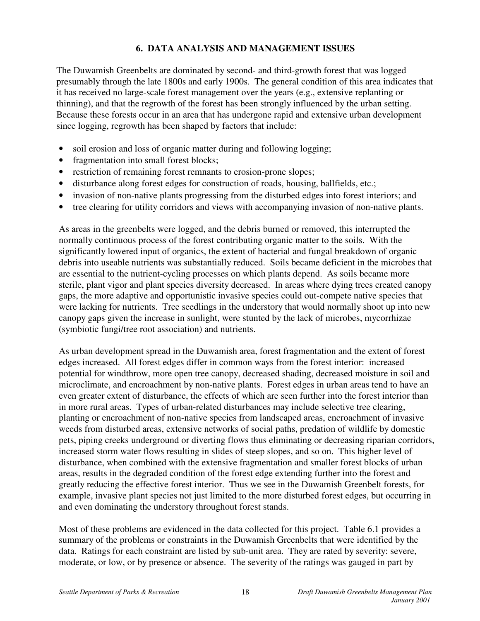## **6. DATA ANALYSIS AND MANAGEMENT ISSUES**

The Duwamish Greenbelts are dominated by second- and third-growth forest that was logged presumably through the late 1800s and early 1900s. The general condition of this area indicates that it has received no large-scale forest management over the years (e.g., extensive replanting or thinning), and that the regrowth of the forest has been strongly influenced by the urban setting. Because these forests occur in an area that has undergone rapid and extensive urban development since logging, regrowth has been shaped by factors that include:

- soil erosion and loss of organic matter during and following logging;
- fragmentation into small forest blocks;
- restriction of remaining forest remnants to erosion-prone slopes;
- disturbance along forest edges for construction of roads, housing, ballfields, etc.;
- invasion of non-native plants progressing from the disturbed edges into forest interiors; and
- tree clearing for utility corridors and views with accompanying invasion of non-native plants.

As areas in the greenbelts were logged, and the debris burned or removed, this interrupted the normally continuous process of the forest contributing organic matter to the soils. With the significantly lowered input of organics, the extent of bacterial and fungal breakdown of organic debris into useable nutrients was substantially reduced. Soils became deficient in the microbes that are essential to the nutrient-cycling processes on which plants depend. As soils became more sterile, plant vigor and plant species diversity decreased. In areas where dying trees created canopy gaps, the more adaptive and opportunistic invasive species could out-compete native species that were lacking for nutrients. Tree seedlings in the understory that would normally shoot up into new canopy gaps given the increase in sunlight, were stunted by the lack of microbes, mycorrhizae (symbiotic fungi/tree root association) and nutrients.

As urban development spread in the Duwamish area, forest fragmentation and the extent of forest edges increased. All forest edges differ in common ways from the forest interior: increased potential for windthrow, more open tree canopy, decreased shading, decreased moisture in soil and microclimate, and encroachment by non-native plants. Forest edges in urban areas tend to have an even greater extent of disturbance, the effects of which are seen further into the forest interior than in more rural areas. Types of urban-related disturbances may include selective tree clearing, planting or encroachment of non-native species from landscaped areas, encroachment of invasive weeds from disturbed areas, extensive networks of social paths, predation of wildlife by domestic pets, piping creeks underground or diverting flows thus eliminating or decreasing riparian corridors, increased storm water flows resulting in slides of steep slopes, and so on. This higher level of disturbance, when combined with the extensive fragmentation and smaller forest blocks of urban areas, results in the degraded condition of the forest edge extending further into the forest and greatly reducing the effective forest interior. Thus we see in the Duwamish Greenbelt forests, for example, invasive plant species not just limited to the more disturbed forest edges, but occurring in and even dominating the understory throughout forest stands.

Most of these problems are evidenced in the data collected for this project. Table 6.1 provides a summary of the problems or constraints in the Duwamish Greenbelts that were identified by the data. Ratings for each constraint are listed by sub-unit area. They are rated by severity: severe, moderate, or low, or by presence or absence. The severity of the ratings was gauged in part by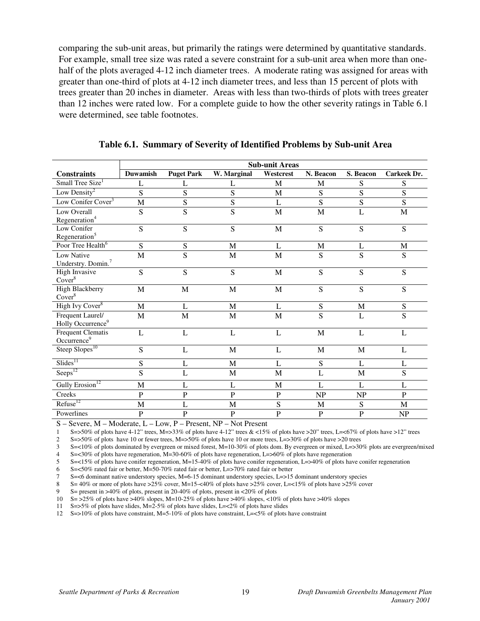comparing the sub-unit areas, but primarily the ratings were determined by quantitative standards. For example, small tree size was rated a severe constraint for a sub-unit area when more than onehalf of the plots averaged 4-12 inch diameter trees. A moderate rating was assigned for areas with greater than one-third of plots at 4-12 inch diameter trees, and less than 15 percent of plots with trees greater than 20 inches in diameter. Areas with less than two-thirds of plots with trees greater than 12 inches were rated low. For a complete guide to how the other severity ratings in Table 6.1 were determined, see table footnotes.

|                                                     | <b>Sub-unit Areas</b> |                   |                |             |              |             |                |
|-----------------------------------------------------|-----------------------|-------------------|----------------|-------------|--------------|-------------|----------------|
| <b>Constraints</b>                                  | <b>Duwamish</b>       | <b>Puget Park</b> | W. Marginal    | Westcrest   | N. Beacon    | S. Beacon   | Carkeek Dr.    |
| Small Tree Size <sup>1</sup>                        | L                     | L                 | L              | M           | M            | S           | S              |
| Low Density <sup>2</sup>                            | S                     | S                 | S              | M           | $\mathbf S$  | $\mathbf S$ | $\mathbf S$    |
| Low Conifer Cover <sup>3</sup>                      | M                     | S                 | S              | L           | S            | S           | S              |
| Low Overall<br>Regeneration <sup>4</sup>            | S                     | S                 | S              | $\mathbf M$ | $\mathbf{M}$ | L           | $\mathbf M$    |
| Low Conifer<br>Regeneration <sup>5</sup>            | S                     | S                 | S              | $\mathbf M$ | S            | S           | S              |
| Poor Tree Health <sup>6</sup>                       | ${\bf S}$             | S                 | M              | L           | M            | L           | M              |
| Low Native<br>Understry. Domin. <sup>7</sup>        | M                     | S                 | M              | $\mathbf M$ | S            | S           | $\mathbf S$    |
| <b>High Invasive</b><br>Cover <sup>8</sup>          | S                     | S                 | S              | M           | S            | S           | S              |
| <b>High Blackberry</b><br>Cover <sup>8</sup>        | M                     | $\mathbf M$       | M              | $\mathbf M$ | S            | S           | $\overline{S}$ |
| High Ivy Cover <sup>8</sup>                         | M                     | L                 | M              | L           | ${\bf S}$    | $\mathbf M$ | $\mathbf S$    |
| Frequent Laurel/<br>Holly Occurrence <sup>9</sup>   | M                     | M                 | M              | $\mathbf M$ | S            | L           | $\mathbf S$    |
| <b>Frequent Clematis</b><br>Occurrence <sup>9</sup> | L                     | L                 | L              | L           | $\mathbf M$  | L           | L              |
| Steep Slopes <sup>10</sup>                          | S                     | L                 | $\mathbf M$    | L           | $\mathbf M$  | M           | L              |
| $S$ lides <sup>11</sup>                             | S                     | L                 | M              | L           | ${\bf S}$    | L           | L              |
| Seeps <sup>12</sup>                                 | S                     | L                 | M              | $\mathbf M$ | L            | $\mathbf M$ | $\mathbf S$    |
| Gully Erosion <sup>12</sup>                         | M                     | L                 | L              | M           | L            | L           | L              |
| Creeks                                              | $\overline{P}$        | $\overline{P}$    | $\overline{P}$ | $\mathbf P$ | <b>NP</b>    | NP          | $\mathbf P$    |
| Refuse <sup>12</sup>                                | M                     | L                 | M              | S           | M            | S           | M              |
| Powerlines                                          | $\mathbf{P}$          | $\mathbf P$       | $\mathbf P$    | $\mathbf P$ | ${\bf P}$    | $\mathbf P$ | NP             |

**Table 6.1. Summary of Severity of Identified Problems by Sub-unit Area**

S – Severe, M – Moderate, L – Low, P – Present, NP – Not Present

1 S=>50% of plots have 4-12" trees, M=>33% of plots have 4-12" trees & <15% of plots have >20" trees, L=<67% of plots have >12" trees

2 S=>50% of plots have 10 or fewer trees, M=>50% of plots have 10 or more trees, L=>30% of plots have >20 trees

 $3 = 3 = 30\%$  of plots dominated by evergreen or mixed forest, M=10-30% of plots dom. By evergreen or mixed, L=>30% plots are evergreen/mixed S=<10% of plots dominated by evergreen or mixed forest, M=10-30% of plots dom. B

4 S=<30% of plots have regeneration, M=30-60% of plots have regeneration, L=>60% of plots have regeneration

5 S=<15% of plots have conifer regeneration, M=15-40% of plots have conifer regeneration, L=>40% of plots have conifer regeneration

6 S=<50% rated fair or better, M=50-70% rated fair or better, L=>70% rated fair or better

7 S=<6 dominant native understory species, M=6-15 dominant understory species, L=>15 dominant understory species

8 S= 40% or more of plots have >25% cover, M=15-<40% of plots have >25% cover, L=<15% of plots have >25% cover

9 S= present in >40% of plots, present in 20-40% of plots, present in <20% of plots

10 S= >25% of plots have >40% slopes, M=10-25% of plots have >40% slopes, <10% of plots have >40% slopes

11 S=>5% of plots have slides, M=2-5% of plots have slides, L=<2% of plots have slides

12 S=>10% of plots have constraint, M=5-10% of plots have constraint, L=<5% of plots have constraint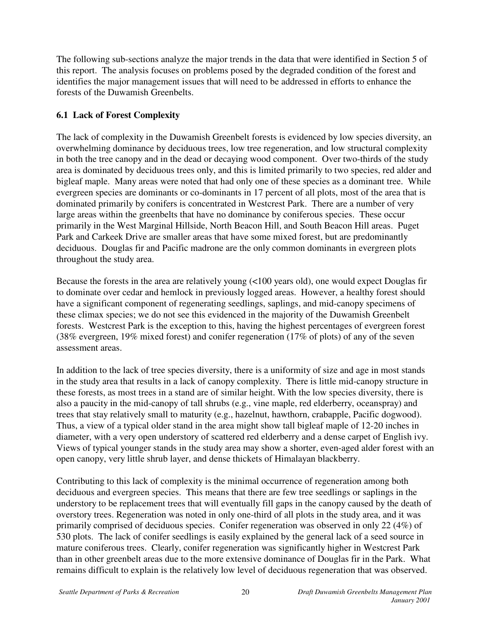The following sub-sections analyze the major trends in the data that were identified in Section 5 of this report. The analysis focuses on problems posed by the degraded condition of the forest and identifies the major management issues that will need to be addressed in efforts to enhance the forests of the Duwamish Greenbelts.

## **6.1 Lack of Forest Complexity**

The lack of complexity in the Duwamish Greenbelt forests is evidenced by low species diversity, an overwhelming dominance by deciduous trees, low tree regeneration, and low structural complexity in both the tree canopy and in the dead or decaying wood component. Over two-thirds of the study area is dominated by deciduous trees only, and this is limited primarily to two species, red alder and bigleaf maple. Many areas were noted that had only one of these species as a dominant tree. While evergreen species are dominants or co-dominants in 17 percent of all plots, most of the area that is dominated primarily by conifers is concentrated in Westcrest Park. There are a number of very large areas within the greenbelts that have no dominance by coniferous species. These occur primarily in the West Marginal Hillside, North Beacon Hill, and South Beacon Hill areas. Puget Park and Carkeek Drive are smaller areas that have some mixed forest, but are predominantly deciduous. Douglas fir and Pacific madrone are the only common dominants in evergreen plots throughout the study area.

Because the forests in the area are relatively young (<100 years old), one would expect Douglas fir to dominate over cedar and hemlock in previously logged areas. However, a healthy forest should have a significant component of regenerating seedlings, saplings, and mid-canopy specimens of these climax species; we do not see this evidenced in the majority of the Duwamish Greenbelt forests. Westcrest Park is the exception to this, having the highest percentages of evergreen forest (38% evergreen, 19% mixed forest) and conifer regeneration (17% of plots) of any of the seven assessment areas.

In addition to the lack of tree species diversity, there is a uniformity of size and age in most stands in the study area that results in a lack of canopy complexity. There is little mid-canopy structure in these forests, as most trees in a stand are of similar height. With the low species diversity, there is also a paucity in the mid-canopy of tall shrubs (e.g., vine maple, red elderberry, oceanspray) and trees that stay relatively small to maturity (e.g., hazelnut, hawthorn, crabapple, Pacific dogwood). Thus, a view of a typical older stand in the area might show tall bigleaf maple of 12-20 inches in diameter, with a very open understory of scattered red elderberry and a dense carpet of English ivy. Views of typical younger stands in the study area may show a shorter, even-aged alder forest with an open canopy, very little shrub layer, and dense thickets of Himalayan blackberry.

Contributing to this lack of complexity is the minimal occurrence of regeneration among both deciduous and evergreen species. This means that there are few tree seedlings or saplings in the understory to be replacement trees that will eventually fill gaps in the canopy caused by the death of overstory trees. Regeneration was noted in only one-third of all plots in the study area, and it was primarily comprised of deciduous species. Conifer regeneration was observed in only 22 (4%) of 530 plots. The lack of conifer seedlings is easily explained by the general lack of a seed source in mature coniferous trees. Clearly, conifer regeneration was significantly higher in Westcrest Park than in other greenbelt areas due to the more extensive dominance of Douglas fir in the Park. What remains difficult to explain is the relatively low level of deciduous regeneration that was observed.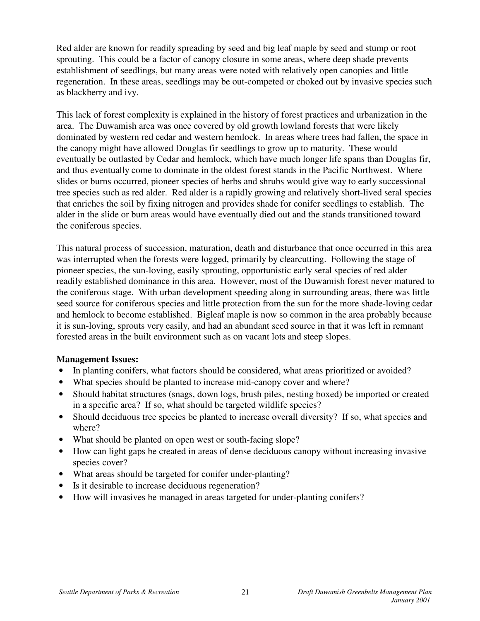Red alder are known for readily spreading by seed and big leaf maple by seed and stump or root sprouting. This could be a factor of canopy closure in some areas, where deep shade prevents establishment of seedlings, but many areas were noted with relatively open canopies and little regeneration. In these areas, seedlings may be out-competed or choked out by invasive species such as blackberry and ivy.

This lack of forest complexity is explained in the history of forest practices and urbanization in the area. The Duwamish area was once covered by old growth lowland forests that were likely dominated by western red cedar and western hemlock. In areas where trees had fallen, the space in the canopy might have allowed Douglas fir seedlings to grow up to maturity. These would eventually be outlasted by Cedar and hemlock, which have much longer life spans than Douglas fir, and thus eventually come to dominate in the oldest forest stands in the Pacific Northwest. Where slides or burns occurred, pioneer species of herbs and shrubs would give way to early successional tree species such as red alder. Red alder is a rapidly growing and relatively short-lived seral species that enriches the soil by fixing nitrogen and provides shade for conifer seedlings to establish. The alder in the slide or burn areas would have eventually died out and the stands transitioned toward the coniferous species.

This natural process of succession, maturation, death and disturbance that once occurred in this area was interrupted when the forests were logged, primarily by clearcutting. Following the stage of pioneer species, the sun-loving, easily sprouting, opportunistic early seral species of red alder readily established dominance in this area. However, most of the Duwamish forest never matured to the coniferous stage. With urban development speeding along in surrounding areas, there was little seed source for coniferous species and little protection from the sun for the more shade-loving cedar and hemlock to become established. Bigleaf maple is now so common in the area probably because it is sun-loving, sprouts very easily, and had an abundant seed source in that it was left in remnant forested areas in the built environment such as on vacant lots and steep slopes.

#### **Management Issues:**

- In planting conifers, what factors should be considered, what areas prioritized or avoided?
- What species should be planted to increase mid-canopy cover and where?
- Should habitat structures (snags, down logs, brush piles, nesting boxed) be imported or created in a specific area? If so, what should be targeted wildlife species?
- Should deciduous tree species be planted to increase overall diversity? If so, what species and where?
- What should be planted on open west or south-facing slope?
- How can light gaps be created in areas of dense deciduous canopy without increasing invasive species cover?
- What areas should be targeted for conifer under-planting?
- Is it desirable to increase deciduous regeneration?
- How will invasives be managed in areas targeted for under-planting conifers?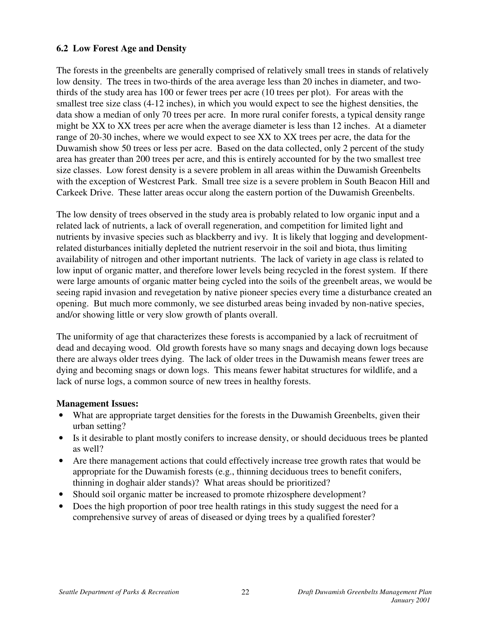### **6.2 Low Forest Age and Density**

The forests in the greenbelts are generally comprised of relatively small trees in stands of relatively low density. The trees in two-thirds of the area average less than 20 inches in diameter, and twothirds of the study area has 100 or fewer trees per acre (10 trees per plot). For areas with the smallest tree size class (4-12 inches), in which you would expect to see the highest densities, the data show a median of only 70 trees per acre. In more rural conifer forests, a typical density range might be XX to XX trees per acre when the average diameter is less than 12 inches. At a diameter range of 20-30 inches, where we would expect to see XX to XX trees per acre, the data for the Duwamish show 50 trees or less per acre. Based on the data collected, only 2 percent of the study area has greater than 200 trees per acre, and this is entirely accounted for by the two smallest tree size classes. Low forest density is a severe problem in all areas within the Duwamish Greenbelts with the exception of Westcrest Park. Small tree size is a severe problem in South Beacon Hill and Carkeek Drive. These latter areas occur along the eastern portion of the Duwamish Greenbelts.

The low density of trees observed in the study area is probably related to low organic input and a related lack of nutrients, a lack of overall regeneration, and competition for limited light and nutrients by invasive species such as blackberry and ivy. It is likely that logging and developmentrelated disturbances initially depleted the nutrient reservoir in the soil and biota, thus limiting availability of nitrogen and other important nutrients. The lack of variety in age class is related to low input of organic matter, and therefore lower levels being recycled in the forest system. If there were large amounts of organic matter being cycled into the soils of the greenbelt areas, we would be seeing rapid invasion and revegetation by native pioneer species every time a disturbance created an opening. But much more commonly, we see disturbed areas being invaded by non-native species, and/or showing little or very slow growth of plants overall.

The uniformity of age that characterizes these forests is accompanied by a lack of recruitment of dead and decaying wood. Old growth forests have so many snags and decaying down logs because there are always older trees dying. The lack of older trees in the Duwamish means fewer trees are dying and becoming snags or down logs. This means fewer habitat structures for wildlife, and a lack of nurse logs, a common source of new trees in healthy forests.

#### **Management Issues:**

- What are appropriate target densities for the forests in the Duwamish Greenbelts, given their urban setting?
- Is it desirable to plant mostly conifers to increase density, or should deciduous trees be planted as well?
- Are there management actions that could effectively increase tree growth rates that would be appropriate for the Duwamish forests (e.g., thinning deciduous trees to benefit conifers, thinning in doghair alder stands)? What areas should be prioritized?
- Should soil organic matter be increased to promote rhizosphere development?
- Does the high proportion of poor tree health ratings in this study suggest the need for a comprehensive survey of areas of diseased or dying trees by a qualified forester?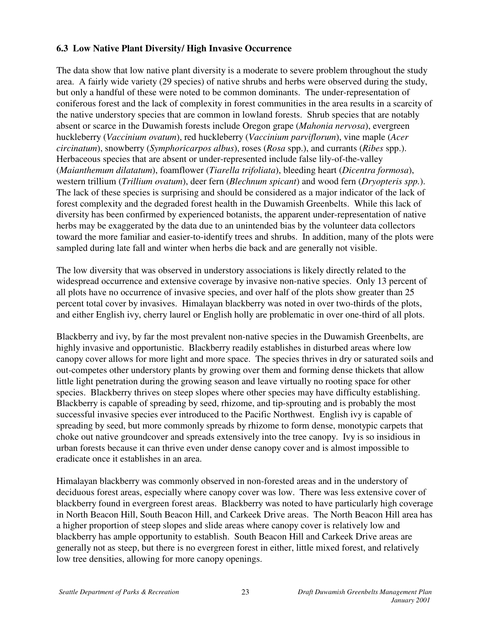## **6.3 Low Native Plant Diversity/ High Invasive Occurrence**

The data show that low native plant diversity is a moderate to severe problem throughout the study area. A fairly wide variety (29 species) of native shrubs and herbs were observed during the study, but only a handful of these were noted to be common dominants. The under-representation of coniferous forest and the lack of complexity in forest communities in the area results in a scarcity of the native understory species that are common in lowland forests. Shrub species that are notably absent or scarce in the Duwamish forests include Oregon grape (*Mahonia nervosa*), evergreen huckleberry (*Vaccinium ovatum*), red huckleberry (*Vaccinium parviflorum*), vine maple (*Acer circinatum*), snowberry (*Symphoricarpos albus*), roses (*Rosa* spp.), and currants (*Ribes* spp.). Herbaceous species that are absent or under-represented include false lily-of-the-valley (*Maianthemum dilatatum*), foamflower (*Tiarella trifoliata*), bleeding heart (*Dicentra formosa*), western trillium (*Trillium ovatum*), deer fern (*Blechnum spicant*) and wood fern (*Dryopteris spp.*). The lack of these species is surprising and should be considered as a major indicator of the lack of forest complexity and the degraded forest health in the Duwamish Greenbelts. While this lack of diversity has been confirmed by experienced botanists, the apparent under-representation of native herbs may be exaggerated by the data due to an unintended bias by the volunteer data collectors toward the more familiar and easier-to-identify trees and shrubs. In addition, many of the plots were sampled during late fall and winter when herbs die back and are generally not visible.

The low diversity that was observed in understory associations is likely directly related to the widespread occurrence and extensive coverage by invasive non-native species. Only 13 percent of all plots have no occurrence of invasive species, and over half of the plots show greater than 25 percent total cover by invasives. Himalayan blackberry was noted in over two-thirds of the plots, and either English ivy, cherry laurel or English holly are problematic in over one-third of all plots.

Blackberry and ivy, by far the most prevalent non-native species in the Duwamish Greenbelts, are highly invasive and opportunistic. Blackberry readily establishes in disturbed areas where low canopy cover allows for more light and more space. The species thrives in dry or saturated soils and out-competes other understory plants by growing over them and forming dense thickets that allow little light penetration during the growing season and leave virtually no rooting space for other species. Blackberry thrives on steep slopes where other species may have difficulty establishing. Blackberry is capable of spreading by seed, rhizome, and tip-sprouting and is probably the most successful invasive species ever introduced to the Pacific Northwest. English ivy is capable of spreading by seed, but more commonly spreads by rhizome to form dense, monotypic carpets that choke out native groundcover and spreads extensively into the tree canopy. Ivy is so insidious in urban forests because it can thrive even under dense canopy cover and is almost impossible to eradicate once it establishes in an area.

Himalayan blackberry was commonly observed in non-forested areas and in the understory of deciduous forest areas, especially where canopy cover was low. There was less extensive cover of blackberry found in evergreen forest areas. Blackberry was noted to have particularly high coverage in North Beacon Hill, South Beacon Hill, and Carkeek Drive areas. The North Beacon Hill area has a higher proportion of steep slopes and slide areas where canopy cover is relatively low and blackberry has ample opportunity to establish. South Beacon Hill and Carkeek Drive areas are generally not as steep, but there is no evergreen forest in either, little mixed forest, and relatively low tree densities, allowing for more canopy openings.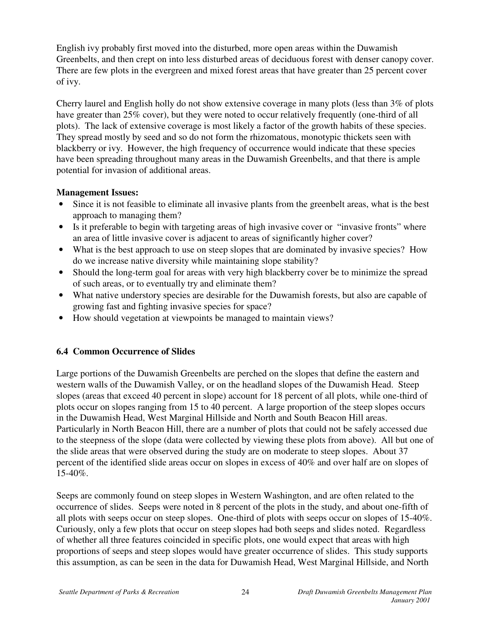English ivy probably first moved into the disturbed, more open areas within the Duwamish Greenbelts, and then crept on into less disturbed areas of deciduous forest with denser canopy cover. There are few plots in the evergreen and mixed forest areas that have greater than 25 percent cover of ivy.

Cherry laurel and English holly do not show extensive coverage in many plots (less than 3% of plots have greater than 25% cover), but they were noted to occur relatively frequently (one-third of all plots). The lack of extensive coverage is most likely a factor of the growth habits of these species. They spread mostly by seed and so do not form the rhizomatous, monotypic thickets seen with blackberry or ivy. However, the high frequency of occurrence would indicate that these species have been spreading throughout many areas in the Duwamish Greenbelts, and that there is ample potential for invasion of additional areas.

### **Management Issues:**

- Since it is not feasible to eliminate all invasive plants from the greenbelt areas, what is the best approach to managing them?
- Is it preferable to begin with targeting areas of high invasive cover or "invasive fronts" where an area of little invasive cover is adjacent to areas of significantly higher cover?
- What is the best approach to use on steep slopes that are dominated by invasive species? How do we increase native diversity while maintaining slope stability?
- Should the long-term goal for areas with very high blackberry cover be to minimize the spread of such areas, or to eventually try and eliminate them?
- What native understory species are desirable for the Duwamish forests, but also are capable of growing fast and fighting invasive species for space?
- How should vegetation at viewpoints be managed to maintain views?

### **6.4 Common Occurrence of Slides**

Large portions of the Duwamish Greenbelts are perched on the slopes that define the eastern and western walls of the Duwamish Valley, or on the headland slopes of the Duwamish Head. Steep slopes (areas that exceed 40 percent in slope) account for 18 percent of all plots, while one-third of plots occur on slopes ranging from 15 to 40 percent. A large proportion of the steep slopes occurs in the Duwamish Head, West Marginal Hillside and North and South Beacon Hill areas. Particularly in North Beacon Hill, there are a number of plots that could not be safely accessed due to the steepness of the slope (data were collected by viewing these plots from above). All but one of the slide areas that were observed during the study are on moderate to steep slopes. About 37 percent of the identified slide areas occur on slopes in excess of 40% and over half are on slopes of 15-40%.

Seeps are commonly found on steep slopes in Western Washington, and are often related to the occurrence of slides. Seeps were noted in 8 percent of the plots in the study, and about one-fifth of all plots with seeps occur on steep slopes. One-third of plots with seeps occur on slopes of 15-40%. Curiously, only a few plots that occur on steep slopes had both seeps and slides noted. Regardless of whether all three features coincided in specific plots, one would expect that areas with high proportions of seeps and steep slopes would have greater occurrence of slides. This study supports this assumption, as can be seen in the data for Duwamish Head, West Marginal Hillside, and North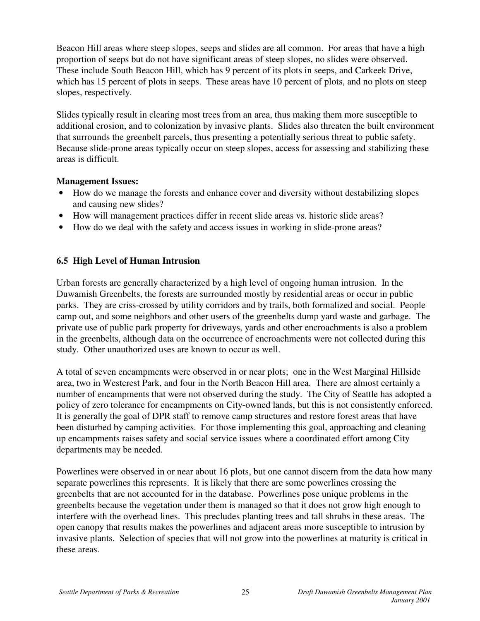Beacon Hill areas where steep slopes, seeps and slides are all common. For areas that have a high proportion of seeps but do not have significant areas of steep slopes, no slides were observed. These include South Beacon Hill, which has 9 percent of its plots in seeps, and Carkeek Drive, which has 15 percent of plots in seeps. These areas have 10 percent of plots, and no plots on steep slopes, respectively.

Slides typically result in clearing most trees from an area, thus making them more susceptible to additional erosion, and to colonization by invasive plants. Slides also threaten the built environment that surrounds the greenbelt parcels, thus presenting a potentially serious threat to public safety. Because slide-prone areas typically occur on steep slopes, access for assessing and stabilizing these areas is difficult.

### **Management Issues:**

- How do we manage the forests and enhance cover and diversity without destabilizing slopes and causing new slides?
- How will management practices differ in recent slide areas vs. historic slide areas?
- How do we deal with the safety and access issues in working in slide-prone areas?

## **6.5 High Level of Human Intrusion**

Urban forests are generally characterized by a high level of ongoing human intrusion. In the Duwamish Greenbelts, the forests are surrounded mostly by residential areas or occur in public parks. They are criss-crossed by utility corridors and by trails, both formalized and social. People camp out, and some neighbors and other users of the greenbelts dump yard waste and garbage. The private use of public park property for driveways, yards and other encroachments is also a problem in the greenbelts, although data on the occurrence of encroachments were not collected during this study. Other unauthorized uses are known to occur as well.

A total of seven encampments were observed in or near plots; one in the West Marginal Hillside area, two in Westcrest Park, and four in the North Beacon Hill area. There are almost certainly a number of encampments that were not observed during the study. The City of Seattle has adopted a policy of zero tolerance for encampments on City-owned lands, but this is not consistently enforced. It is generally the goal of DPR staff to remove camp structures and restore forest areas that have been disturbed by camping activities. For those implementing this goal, approaching and cleaning up encampments raises safety and social service issues where a coordinated effort among City departments may be needed.

Powerlines were observed in or near about 16 plots, but one cannot discern from the data how many separate powerlines this represents. It is likely that there are some powerlines crossing the greenbelts that are not accounted for in the database. Powerlines pose unique problems in the greenbelts because the vegetation under them is managed so that it does not grow high enough to interfere with the overhead lines. This precludes planting trees and tall shrubs in these areas. The open canopy that results makes the powerlines and adjacent areas more susceptible to intrusion by invasive plants. Selection of species that will not grow into the powerlines at maturity is critical in these areas.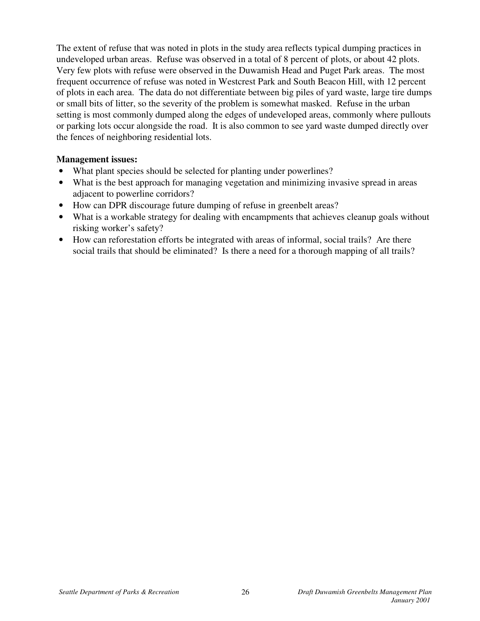The extent of refuse that was noted in plots in the study area reflects typical dumping practices in undeveloped urban areas. Refuse was observed in a total of 8 percent of plots, or about 42 plots. Very few plots with refuse were observed in the Duwamish Head and Puget Park areas. The most frequent occurrence of refuse was noted in Westcrest Park and South Beacon Hill, with 12 percent of plots in each area. The data do not differentiate between big piles of yard waste, large tire dumps or small bits of litter, so the severity of the problem is somewhat masked. Refuse in the urban setting is most commonly dumped along the edges of undeveloped areas, commonly where pullouts or parking lots occur alongside the road. It is also common to see yard waste dumped directly over the fences of neighboring residential lots.

#### **Management issues:**

- What plant species should be selected for planting under powerlines?
- What is the best approach for managing vegetation and minimizing invasive spread in areas adjacent to powerline corridors?
- How can DPR discourage future dumping of refuse in greenbelt areas?
- What is a workable strategy for dealing with encampments that achieves cleanup goals without risking worker's safety?
- How can reforestation efforts be integrated with areas of informal, social trails? Are there social trails that should be eliminated? Is there a need for a thorough mapping of all trails?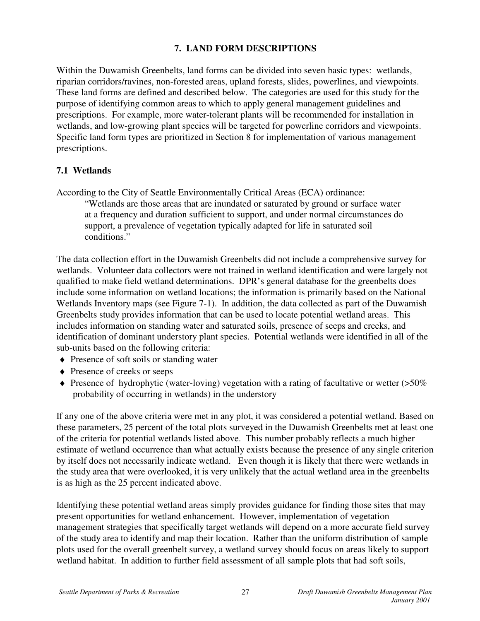## **7. LAND FORM DESCRIPTIONS**

Within the Duwamish Greenbelts, land forms can be divided into seven basic types: wetlands, riparian corridors/ravines, non-forested areas, upland forests, slides, powerlines, and viewpoints. These land forms are defined and described below. The categories are used for this study for the purpose of identifying common areas to which to apply general management guidelines and prescriptions. For example, more water-tolerant plants will be recommended for installation in wetlands, and low-growing plant species will be targeted for powerline corridors and viewpoints. Specific land form types are prioritized in Section 8 for implementation of various management prescriptions.

### **7.1 Wetlands**

According to the City of Seattle Environmentally Critical Areas (ECA) ordinance:

"Wetlands are those areas that are inundated or saturated by ground or surface water at a frequency and duration sufficient to support, and under normal circumstances do support, a prevalence of vegetation typically adapted for life in saturated soil conditions."

The data collection effort in the Duwamish Greenbelts did not include a comprehensive survey for wetlands. Volunteer data collectors were not trained in wetland identification and were largely not qualified to make field wetland determinations. DPR's general database for the greenbelts does include some information on wetland locations; the information is primarily based on the National Wetlands Inventory maps (see Figure 7-1). In addition, the data collected as part of the Duwamish Greenbelts study provides information that can be used to locate potential wetland areas. This includes information on standing water and saturated soils, presence of seeps and creeks, and identification of dominant understory plant species. Potential wetlands were identified in all of the sub-units based on the following criteria:

- ♦ Presence of soft soils or standing water
- ◆ Presence of creeks or seeps
- $\blacklozenge$  Presence of hydrophytic (water-loving) vegetation with a rating of facultative or wetter ( $>50\%$ ) probability of occurring in wetlands) in the understory

If any one of the above criteria were met in any plot, it was considered a potential wetland. Based on these parameters, 25 percent of the total plots surveyed in the Duwamish Greenbelts met at least one of the criteria for potential wetlands listed above. This number probably reflects a much higher estimate of wetland occurrence than what actually exists because the presence of any single criterion by itself does not necessarily indicate wetland. Even though it is likely that there were wetlands in the study area that were overlooked, it is very unlikely that the actual wetland area in the greenbelts is as high as the 25 percent indicated above.

Identifying these potential wetland areas simply provides guidance for finding those sites that may present opportunities for wetland enhancement. However, implementation of vegetation management strategies that specifically target wetlands will depend on a more accurate field survey of the study area to identify and map their location. Rather than the uniform distribution of sample plots used for the overall greenbelt survey, a wetland survey should focus on areas likely to support wetland habitat. In addition to further field assessment of all sample plots that had soft soils,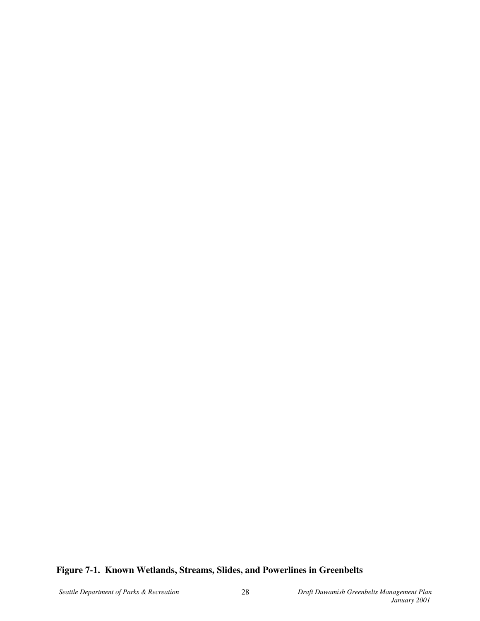## **Figure 7-1. Known Wetlands, Streams, Slides, and Powerlines in Greenbelts**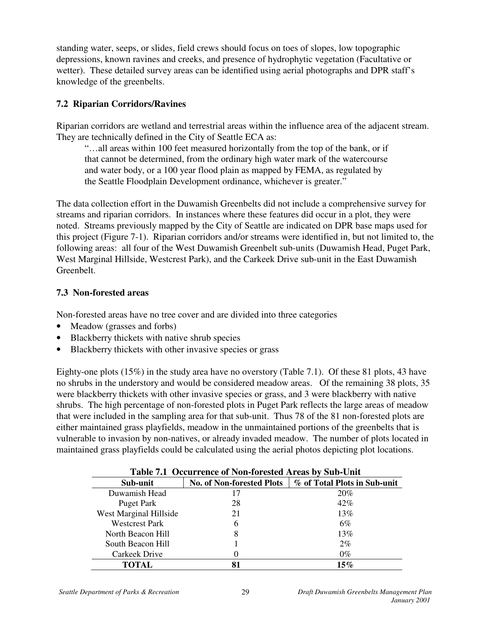standing water, seeps, or slides, field crews should focus on toes of slopes, low topographic depressions, known ravines and creeks, and presence of hydrophytic vegetation (Facultative or wetter). These detailed survey areas can be identified using aerial photographs and DPR staff's knowledge of the greenbelts.

## **7.2 Riparian Corridors/Ravines**

Riparian corridors are wetland and terrestrial areas within the influence area of the adjacent stream. They are technically defined in the City of Seattle ECA as:

"…all areas within 100 feet measured horizontally from the top of the bank, or if that cannot be determined, from the ordinary high water mark of the watercourse and water body, or a 100 year flood plain as mapped by FEMA, as regulated by the Seattle Floodplain Development ordinance, whichever is greater."

The data collection effort in the Duwamish Greenbelts did not include a comprehensive survey for streams and riparian corridors. In instances where these features did occur in a plot, they were noted. Streams previously mapped by the City of Seattle are indicated on DPR base maps used for this project (Figure 7-1). Riparian corridors and/or streams were identified in, but not limited to, the following areas: all four of the West Duwamish Greenbelt sub-units (Duwamish Head, Puget Park, West Marginal Hillside, Westcrest Park), and the Carkeek Drive sub-unit in the East Duwamish Greenbelt.

## **7.3 Non-forested areas**

Non-forested areas have no tree cover and are divided into three categories

- Meadow (grasses and forbs)
- Blackberry thickets with native shrub species
- Blackberry thickets with other invasive species or grass

Eighty-one plots (15%) in the study area have no overstory (Table 7.1). Of these 81 plots, 43 have no shrubs in the understory and would be considered meadow areas. Of the remaining 38 plots, 35 were blackberry thickets with other invasive species or grass, and 3 were blackberry with native shrubs. The high percentage of non-forested plots in Puget Park reflects the large areas of meadow that were included in the sampling area for that sub-unit. Thus 78 of the 81 non-forested plots are either maintained grass playfields, meadow in the unmaintained portions of the greenbelts that is vulnerable to invasion by non-natives, or already invaded meadow. The number of plots located in maintained grass playfields could be calculated using the aerial photos depicting plot locations.

| Table 7.1 Occurrence of Non-forested Areas by Sub-Unit |                                  |                              |  |  |  |
|--------------------------------------------------------|----------------------------------|------------------------------|--|--|--|
| Sub-unit                                               | <b>No. of Non-forested Plots</b> | % of Total Plots in Sub-unit |  |  |  |
| Duwamish Head                                          | 17                               | 20%                          |  |  |  |
| Puget Park                                             | 28                               | 42%                          |  |  |  |
| West Marginal Hillside                                 | 21                               | 13%                          |  |  |  |
| <b>Westcrest Park</b>                                  | 6                                | 6%                           |  |  |  |
| North Beacon Hill                                      | 8                                | 13%                          |  |  |  |
| South Beacon Hill                                      |                                  | 2%                           |  |  |  |
| Carkeek Drive                                          |                                  | $0\%$                        |  |  |  |
| TOTAL                                                  | 81                               | $15\%$                       |  |  |  |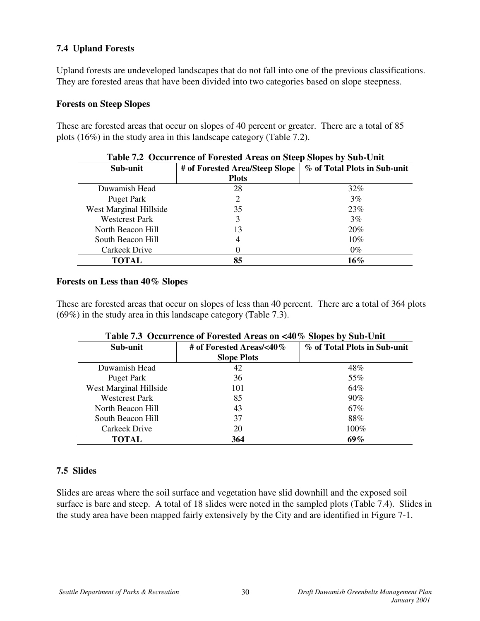## **7.4 Upland Forests**

Upland forests are undeveloped landscapes that do not fall into one of the previous classifications. They are forested areas that have been divided into two categories based on slope steepness.

#### **Forests on Steep Slopes**

These are forested areas that occur on slopes of 40 percent or greater. There are a total of 85 plots (16%) in the study area in this landscape category (Table 7.2).

| Table ran Occarrence of Forested in eas on Steep Slopes by Sais-Chit |                                |                              |  |  |  |  |
|----------------------------------------------------------------------|--------------------------------|------------------------------|--|--|--|--|
| Sub-unit                                                             | # of Forested Area/Steep Slope | % of Total Plots in Sub-unit |  |  |  |  |
|                                                                      | <b>Plots</b>                   |                              |  |  |  |  |
| Duwamish Head                                                        | 28                             | $32\%$                       |  |  |  |  |
| Puget Park                                                           | 2                              | 3%                           |  |  |  |  |
| West Marginal Hillside                                               | 35                             | 23%                          |  |  |  |  |
| <b>Westcrest Park</b>                                                | 3                              | 3%                           |  |  |  |  |
| North Beacon Hill                                                    | 13                             | 20%                          |  |  |  |  |
| South Beacon Hill                                                    | 4                              | $10\%$                       |  |  |  |  |
| Carkeek Drive                                                        |                                | $0\%$                        |  |  |  |  |
| <b>TOTAL</b>                                                         | 85                             | $16\%$                       |  |  |  |  |

#### **Table 7.2 Occurrence of Forested Areas on Steep Slopes by Sub-Unit**

#### **Forests on Less than 40% Slopes**

These are forested areas that occur on slopes of less than 40 percent. There are a total of 364 plots (69%) in the study area in this landscape category (Table 7.3).

| Sub-unit               | # of Forested Areas/<40 $\%$ | % of Total Plots in Sub-unit |
|------------------------|------------------------------|------------------------------|
|                        | <b>Slope Plots</b>           |                              |
| Duwamish Head          | 42                           | 48%                          |
| Puget Park             | 36                           | 55%                          |
| West Marginal Hillside | 101                          | 64%                          |
| <b>Westcrest Park</b>  | 85                           | $90\%$                       |
| North Beacon Hill      | 43                           | 67%                          |
| South Beacon Hill      | 37                           | 88%                          |
| Carkeek Drive          | 20                           | 100%                         |
| TOTAL                  | 364                          | 69%                          |

#### **Table 7.3 Occurrence of Forested Areas on <40% Slopes by Sub-Unit**

### **7.5 Slides**

Slides are areas where the soil surface and vegetation have slid downhill and the exposed soil surface is bare and steep. A total of 18 slides were noted in the sampled plots (Table 7.4). Slides in the study area have been mapped fairly extensively by the City and are identified in Figure 7-1.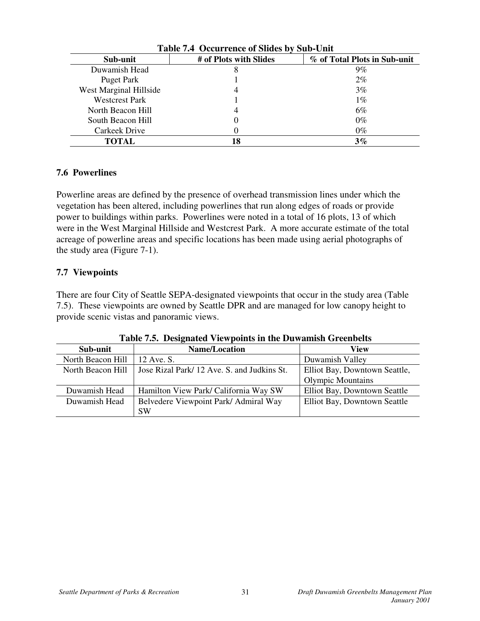| Table 7.4 Occurrence of Sildes by Sub-Unit |                        |                              |  |  |  |  |
|--------------------------------------------|------------------------|------------------------------|--|--|--|--|
| Sub-unit                                   | # of Plots with Slides | % of Total Plots in Sub-unit |  |  |  |  |
| Duwamish Head                              | 8                      | $9\%$                        |  |  |  |  |
| Puget Park                                 |                        | $2\%$                        |  |  |  |  |
| West Marginal Hillside                     |                        | 3%                           |  |  |  |  |
| <b>Westcrest Park</b>                      |                        | $1\%$                        |  |  |  |  |
| North Beacon Hill                          |                        | 6%                           |  |  |  |  |
| South Beacon Hill                          |                        | $0\%$                        |  |  |  |  |
| Carkeek Drive                              |                        | $0\%$                        |  |  |  |  |
| <b>TOTAL</b>                               | 18                     | $3\%$                        |  |  |  |  |

| Table 7.4 Occurrence of Slides by Sub-Unit |  |  |
|--------------------------------------------|--|--|
|--------------------------------------------|--|--|

### **7.6 Powerlines**

Powerline areas are defined by the presence of overhead transmission lines under which the vegetation has been altered, including powerlines that run along edges of roads or provide power to buildings within parks. Powerlines were noted in a total of 16 plots, 13 of which were in the West Marginal Hillside and Westcrest Park. A more accurate estimate of the total acreage of powerline areas and specific locations has been made using aerial photographs of the study area (Figure 7-1).

### **7.7 Viewpoints**

There are four City of Seattle SEPA-designated viewpoints that occur in the study area (Table 7.5). These viewpoints are owned by Seattle DPR and are managed for low canopy height to provide scenic vistas and panoramic views.

| Sub-unit          | <b>Name/Location</b>                       | View                          |  |  |  |
|-------------------|--------------------------------------------|-------------------------------|--|--|--|
| North Beacon Hill | 12 Ave. S.                                 | Duwamish Valley               |  |  |  |
| North Beacon Hill | Jose Rizal Park/12 Ave. S. and Judkins St. | Elliot Bay, Downtown Seattle, |  |  |  |
|                   |                                            | <b>Olympic Mountains</b>      |  |  |  |
| Duwamish Head     | Hamilton View Park/ California Way SW      | Elliot Bay, Downtown Seattle  |  |  |  |
| Duwamish Head     | Belvedere Viewpoint Park/ Admiral Way      | Elliot Bay, Downtown Seattle  |  |  |  |
|                   | <b>SW</b>                                  |                               |  |  |  |

**Table 7.5. Designated Viewpoints in the Duwamish Greenbelts**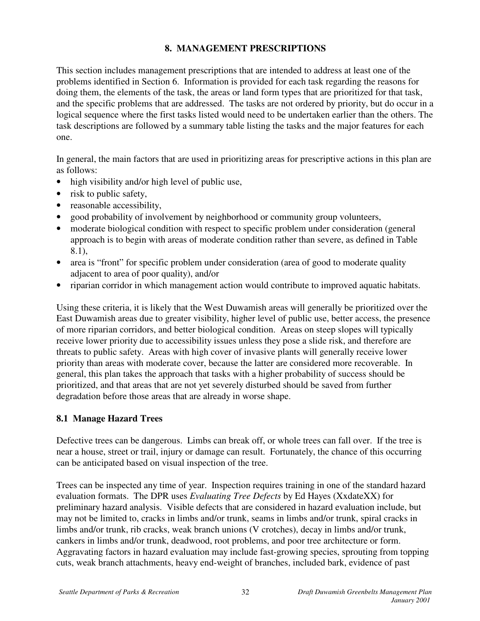## **8. MANAGEMENT PRESCRIPTIONS**

This section includes management prescriptions that are intended to address at least one of the problems identified in Section 6. Information is provided for each task regarding the reasons for doing them, the elements of the task, the areas or land form types that are prioritized for that task, and the specific problems that are addressed. The tasks are not ordered by priority, but do occur in a logical sequence where the first tasks listed would need to be undertaken earlier than the others. The task descriptions are followed by a summary table listing the tasks and the major features for each one.

In general, the main factors that are used in prioritizing areas for prescriptive actions in this plan are as follows:

- high visibility and/or high level of public use,
- risk to public safety,
- reasonable accessibility,
- good probability of involvement by neighborhood or community group volunteers,
- moderate biological condition with respect to specific problem under consideration (general approach is to begin with areas of moderate condition rather than severe, as defined in Table 8.1),
- area is "front" for specific problem under consideration (area of good to moderate quality adjacent to area of poor quality), and/or
- riparian corridor in which management action would contribute to improved aquatic habitats.

Using these criteria, it is likely that the West Duwamish areas will generally be prioritized over the East Duwamish areas due to greater visibility, higher level of public use, better access, the presence of more riparian corridors, and better biological condition. Areas on steep slopes will typically receive lower priority due to accessibility issues unless they pose a slide risk, and therefore are threats to public safety. Areas with high cover of invasive plants will generally receive lower priority than areas with moderate cover, because the latter are considered more recoverable. In general, this plan takes the approach that tasks with a higher probability of success should be prioritized, and that areas that are not yet severely disturbed should be saved from further degradation before those areas that are already in worse shape.

### **8.1 Manage Hazard Trees**

Defective trees can be dangerous. Limbs can break off, or whole trees can fall over. If the tree is near a house, street or trail, injury or damage can result. Fortunately, the chance of this occurring can be anticipated based on visual inspection of the tree.

Trees can be inspected any time of year. Inspection requires training in one of the standard hazard evaluation formats. The DPR uses *Evaluating Tree Defects* by Ed Hayes (XxdateXX) for preliminary hazard analysis. Visible defects that are considered in hazard evaluation include, but may not be limited to, cracks in limbs and/or trunk, seams in limbs and/or trunk, spiral cracks in limbs and/or trunk, rib cracks, weak branch unions (V crotches), decay in limbs and/or trunk, cankers in limbs and/or trunk, deadwood, root problems, and poor tree architecture or form. Aggravating factors in hazard evaluation may include fast-growing species, sprouting from topping cuts, weak branch attachments, heavy end-weight of branches, included bark, evidence of past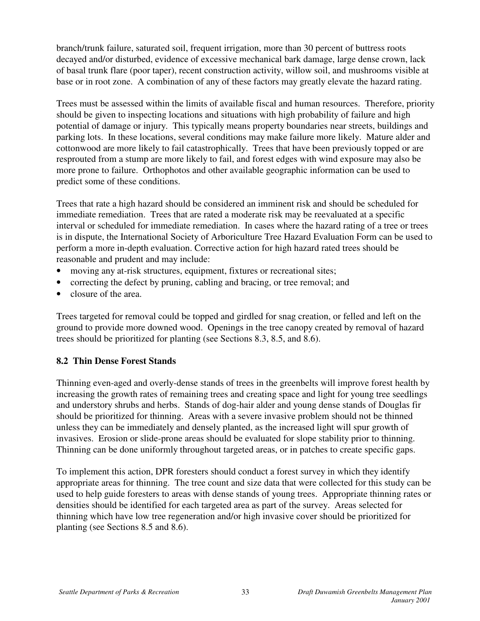branch/trunk failure, saturated soil, frequent irrigation, more than 30 percent of buttress roots decayed and/or disturbed, evidence of excessive mechanical bark damage, large dense crown, lack of basal trunk flare (poor taper), recent construction activity, willow soil, and mushrooms visible at base or in root zone. A combination of any of these factors may greatly elevate the hazard rating.

Trees must be assessed within the limits of available fiscal and human resources. Therefore, priority should be given to inspecting locations and situations with high probability of failure and high potential of damage or injury. This typically means property boundaries near streets, buildings and parking lots. In these locations, several conditions may make failure more likely. Mature alder and cottonwood are more likely to fail catastrophically. Trees that have been previously topped or are resprouted from a stump are more likely to fail, and forest edges with wind exposure may also be more prone to failure. Orthophotos and other available geographic information can be used to predict some of these conditions.

Trees that rate a high hazard should be considered an imminent risk and should be scheduled for immediate remediation. Trees that are rated a moderate risk may be reevaluated at a specific interval or scheduled for immediate remediation. In cases where the hazard rating of a tree or trees is in dispute, the International Society of Arboriculture Tree Hazard Evaluation Form can be used to perform a more in-depth evaluation. Corrective action for high hazard rated trees should be reasonable and prudent and may include:

- moving any at-risk structures, equipment, fixtures or recreational sites;
- correcting the defect by pruning, cabling and bracing, or tree removal; and
- closure of the area.

Trees targeted for removal could be topped and girdled for snag creation, or felled and left on the ground to provide more downed wood. Openings in the tree canopy created by removal of hazard trees should be prioritized for planting (see Sections 8.3, 8.5, and 8.6).

### **8.2 Thin Dense Forest Stands**

Thinning even-aged and overly-dense stands of trees in the greenbelts will improve forest health by increasing the growth rates of remaining trees and creating space and light for young tree seedlings and understory shrubs and herbs. Stands of dog-hair alder and young dense stands of Douglas fir should be prioritized for thinning. Areas with a severe invasive problem should not be thinned unless they can be immediately and densely planted, as the increased light will spur growth of invasives. Erosion or slide-prone areas should be evaluated for slope stability prior to thinning. Thinning can be done uniformly throughout targeted areas, or in patches to create specific gaps.

To implement this action, DPR foresters should conduct a forest survey in which they identify appropriate areas for thinning. The tree count and size data that were collected for this study can be used to help guide foresters to areas with dense stands of young trees. Appropriate thinning rates or densities should be identified for each targeted area as part of the survey. Areas selected for thinning which have low tree regeneration and/or high invasive cover should be prioritized for planting (see Sections 8.5 and 8.6).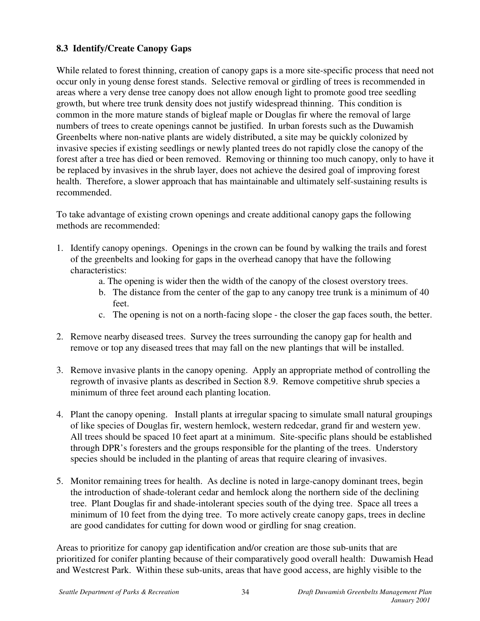## **8.3 Identify/Create Canopy Gaps**

While related to forest thinning, creation of canopy gaps is a more site-specific process that need not occur only in young dense forest stands. Selective removal or girdling of trees is recommended in areas where a very dense tree canopy does not allow enough light to promote good tree seedling growth, but where tree trunk density does not justify widespread thinning. This condition is common in the more mature stands of bigleaf maple or Douglas fir where the removal of large numbers of trees to create openings cannot be justified. In urban forests such as the Duwamish Greenbelts where non-native plants are widely distributed, a site may be quickly colonized by invasive species if existing seedlings or newly planted trees do not rapidly close the canopy of the forest after a tree has died or been removed. Removing or thinning too much canopy, only to have it be replaced by invasives in the shrub layer, does not achieve the desired goal of improving forest health. Therefore, a slower approach that has maintainable and ultimately self-sustaining results is recommended.

To take advantage of existing crown openings and create additional canopy gaps the following methods are recommended:

- 1. Identify canopy openings. Openings in the crown can be found by walking the trails and forest of the greenbelts and looking for gaps in the overhead canopy that have the following characteristics:
	- a. The opening is wider then the width of the canopy of the closest overstory trees.
	- b. The distance from the center of the gap to any canopy tree trunk is a minimum of 40 feet.
	- c. The opening is not on a north-facing slope the closer the gap faces south, the better.
- 2. Remove nearby diseased trees. Survey the trees surrounding the canopy gap for health and remove or top any diseased trees that may fall on the new plantings that will be installed.
- 3. Remove invasive plants in the canopy opening. Apply an appropriate method of controlling the regrowth of invasive plants as described in Section 8.9. Remove competitive shrub species a minimum of three feet around each planting location.
- 4. Plant the canopy opening. Install plants at irregular spacing to simulate small natural groupings of like species of Douglas fir, western hemlock, western redcedar, grand fir and western yew. All trees should be spaced 10 feet apart at a minimum. Site-specific plans should be established through DPR's foresters and the groups responsible for the planting of the trees. Understory species should be included in the planting of areas that require clearing of invasives.
- 5. Monitor remaining trees for health. As decline is noted in large-canopy dominant trees, begin the introduction of shade-tolerant cedar and hemlock along the northern side of the declining tree. Plant Douglas fir and shade-intolerant species south of the dying tree. Space all trees a minimum of 10 feet from the dying tree. To more actively create canopy gaps, trees in decline are good candidates for cutting for down wood or girdling for snag creation.

Areas to prioritize for canopy gap identification and/or creation are those sub-units that are prioritized for conifer planting because of their comparatively good overall health: Duwamish Head and Westcrest Park. Within these sub-units, areas that have good access, are highly visible to the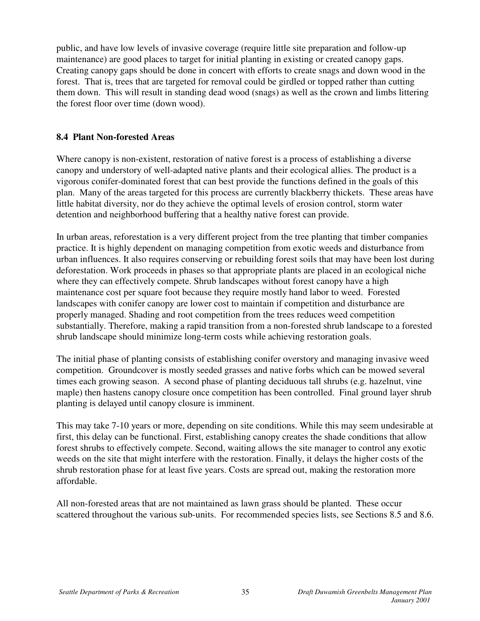public, and have low levels of invasive coverage (require little site preparation and follow-up maintenance) are good places to target for initial planting in existing or created canopy gaps. Creating canopy gaps should be done in concert with efforts to create snags and down wood in the forest. That is, trees that are targeted for removal could be girdled or topped rather than cutting them down. This will result in standing dead wood (snags) as well as the crown and limbs littering the forest floor over time (down wood).

#### **8.4 Plant Non-forested Areas**

Where canopy is non-existent, restoration of native forest is a process of establishing a diverse canopy and understory of well-adapted native plants and their ecological allies. The product is a vigorous conifer-dominated forest that can best provide the functions defined in the goals of this plan. Many of the areas targeted for this process are currently blackberry thickets. These areas have little habitat diversity, nor do they achieve the optimal levels of erosion control, storm water detention and neighborhood buffering that a healthy native forest can provide.

In urban areas, reforestation is a very different project from the tree planting that timber companies practice. It is highly dependent on managing competition from exotic weeds and disturbance from urban influences. It also requires conserving or rebuilding forest soils that may have been lost during deforestation. Work proceeds in phases so that appropriate plants are placed in an ecological niche where they can effectively compete. Shrub landscapes without forest canopy have a high maintenance cost per square foot because they require mostly hand labor to weed. Forested landscapes with conifer canopy are lower cost to maintain if competition and disturbance are properly managed. Shading and root competition from the trees reduces weed competition substantially. Therefore, making a rapid transition from a non-forested shrub landscape to a forested shrub landscape should minimize long-term costs while achieving restoration goals.

The initial phase of planting consists of establishing conifer overstory and managing invasive weed competition. Groundcover is mostly seeded grasses and native forbs which can be mowed several times each growing season. A second phase of planting deciduous tall shrubs (e.g. hazelnut, vine maple) then hastens canopy closure once competition has been controlled. Final ground layer shrub planting is delayed until canopy closure is imminent.

This may take 7-10 years or more, depending on site conditions. While this may seem undesirable at first, this delay can be functional. First, establishing canopy creates the shade conditions that allow forest shrubs to effectively compete. Second, waiting allows the site manager to control any exotic weeds on the site that might interfere with the restoration. Finally, it delays the higher costs of the shrub restoration phase for at least five years. Costs are spread out, making the restoration more affordable.

All non-forested areas that are not maintained as lawn grass should be planted. These occur scattered throughout the various sub-units. For recommended species lists, see Sections 8.5 and 8.6.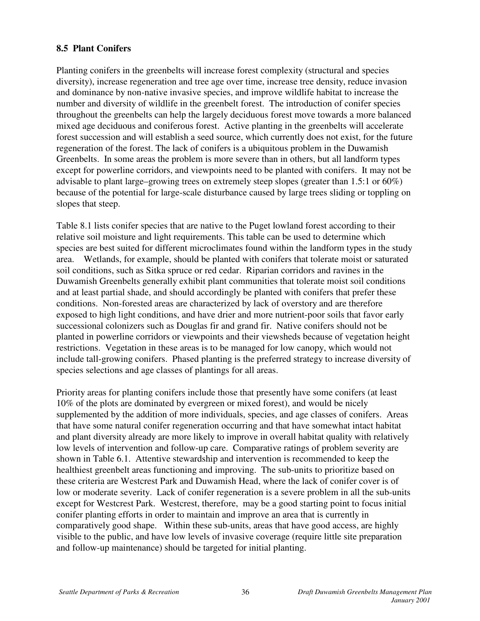## **8.5 Plant Conifers**

Planting conifers in the greenbelts will increase forest complexity (structural and species diversity), increase regeneration and tree age over time, increase tree density, reduce invasion and dominance by non-native invasive species, and improve wildlife habitat to increase the number and diversity of wildlife in the greenbelt forest. The introduction of conifer species throughout the greenbelts can help the largely deciduous forest move towards a more balanced mixed age deciduous and coniferous forest. Active planting in the greenbelts will accelerate forest succession and will establish a seed source, which currently does not exist, for the future regeneration of the forest. The lack of conifers is a ubiquitous problem in the Duwamish Greenbelts. In some areas the problem is more severe than in others, but all landform types except for powerline corridors, and viewpoints need to be planted with conifers. It may not be advisable to plant large–growing trees on extremely steep slopes (greater than 1.5:1 or 60%) because of the potential for large-scale disturbance caused by large trees sliding or toppling on slopes that steep.

Table 8.1 lists conifer species that are native to the Puget lowland forest according to their relative soil moisture and light requirements. This table can be used to determine which species are best suited for different microclimates found within the landform types in the study area. Wetlands, for example, should be planted with conifers that tolerate moist or saturated soil conditions, such as Sitka spruce or red cedar. Riparian corridors and ravines in the Duwamish Greenbelts generally exhibit plant communities that tolerate moist soil conditions and at least partial shade, and should accordingly be planted with conifers that prefer these conditions. Non-forested areas are characterized by lack of overstory and are therefore exposed to high light conditions, and have drier and more nutrient-poor soils that favor early successional colonizers such as Douglas fir and grand fir. Native conifers should not be planted in powerline corridors or viewpoints and their viewsheds because of vegetation height restrictions. Vegetation in these areas is to be managed for low canopy, which would not include tall-growing conifers. Phased planting is the preferred strategy to increase diversity of species selections and age classes of plantings for all areas.

Priority areas for planting conifers include those that presently have some conifers (at least 10% of the plots are dominated by evergreen or mixed forest), and would be nicely supplemented by the addition of more individuals, species, and age classes of conifers. Areas that have some natural conifer regeneration occurring and that have somewhat intact habitat and plant diversity already are more likely to improve in overall habitat quality with relatively low levels of intervention and follow-up care. Comparative ratings of problem severity are shown in Table 6.1. Attentive stewardship and intervention is recommended to keep the healthiest greenbelt areas functioning and improving. The sub-units to prioritize based on these criteria are Westcrest Park and Duwamish Head, where the lack of conifer cover is of low or moderate severity. Lack of conifer regeneration is a severe problem in all the sub-units except for Westcrest Park. Westcrest, therefore, may be a good starting point to focus initial conifer planting efforts in order to maintain and improve an area that is currently in comparatively good shape. Within these sub-units, areas that have good access, are highly visible to the public, and have low levels of invasive coverage (require little site preparation and follow-up maintenance) should be targeted for initial planting.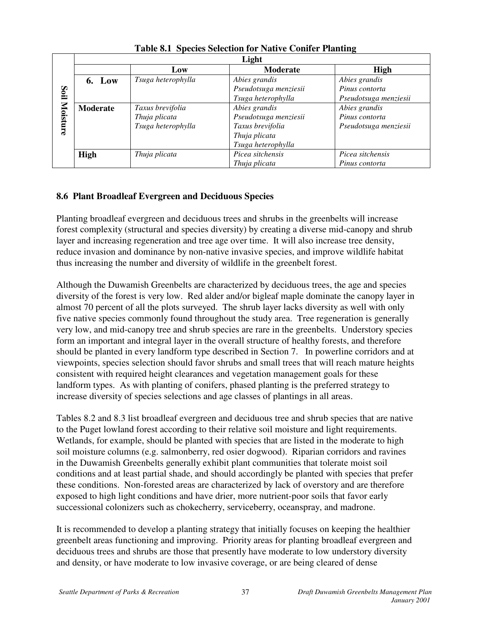|          | Light       |                    |                       |                       |  |  |  |
|----------|-------------|--------------------|-----------------------|-----------------------|--|--|--|
|          |             | Low                | Moderate              | <b>High</b>           |  |  |  |
|          | 6. Low      | Tsuga heterophylla | Abies grandis         | Abies grandis         |  |  |  |
| Soil     |             |                    | Pseudotsuga menziesii | Pinus contorta        |  |  |  |
|          |             |                    | Tsuga heterophylla    | Pseudotsuga menziesii |  |  |  |
| Moisture | Moderate    | Taxus brevifolia   | Abies grandis         | Abies grandis         |  |  |  |
|          |             | Thuja plicata      | Pseudotsuga menziesii | Pinus contorta        |  |  |  |
|          |             | Tsuga heterophylla | Taxus brevifolia      | Pseudotsuga menziesii |  |  |  |
|          |             |                    | Thuja plicata         |                       |  |  |  |
|          |             |                    | Tsuga heterophylla    |                       |  |  |  |
|          | <b>High</b> | Thuja plicata      | Picea sitchensis      | Picea sitchensis      |  |  |  |
|          |             |                    | Thuja plicata         | Pinus contorta        |  |  |  |

**Table 8.1 Species Selection for Native Conifer Planting**

## **8.6 Plant Broadleaf Evergreen and Deciduous Species**

Planting broadleaf evergreen and deciduous trees and shrubs in the greenbelts will increase forest complexity (structural and species diversity) by creating a diverse mid-canopy and shrub layer and increasing regeneration and tree age over time. It will also increase tree density, reduce invasion and dominance by non-native invasive species, and improve wildlife habitat thus increasing the number and diversity of wildlife in the greenbelt forest.

Although the Duwamish Greenbelts are characterized by deciduous trees, the age and species diversity of the forest is very low. Red alder and/or bigleaf maple dominate the canopy layer in almost 70 percent of all the plots surveyed. The shrub layer lacks diversity as well with only five native species commonly found throughout the study area. Tree regeneration is generally very low, and mid-canopy tree and shrub species are rare in the greenbelts. Understory species form an important and integral layer in the overall structure of healthy forests, and therefore should be planted in every landform type described in Section 7. In powerline corridors and at viewpoints, species selection should favor shrubs and small trees that will reach mature heights consistent with required height clearances and vegetation management goals for these landform types. As with planting of conifers, phased planting is the preferred strategy to increase diversity of species selections and age classes of plantings in all areas.

Tables 8.2 and 8.3 list broadleaf evergreen and deciduous tree and shrub species that are native to the Puget lowland forest according to their relative soil moisture and light requirements. Wetlands, for example, should be planted with species that are listed in the moderate to high soil moisture columns (e.g. salmonberry, red osier dogwood). Riparian corridors and ravines in the Duwamish Greenbelts generally exhibit plant communities that tolerate moist soil conditions and at least partial shade, and should accordingly be planted with species that prefer these conditions. Non-forested areas are characterized by lack of overstory and are therefore exposed to high light conditions and have drier, more nutrient-poor soils that favor early successional colonizers such as chokecherry, serviceberry, oceanspray, and madrone.

It is recommended to develop a planting strategy that initially focuses on keeping the healthier greenbelt areas functioning and improving. Priority areas for planting broadleaf evergreen and deciduous trees and shrubs are those that presently have moderate to low understory diversity and density, or have moderate to low invasive coverage, or are being cleared of dense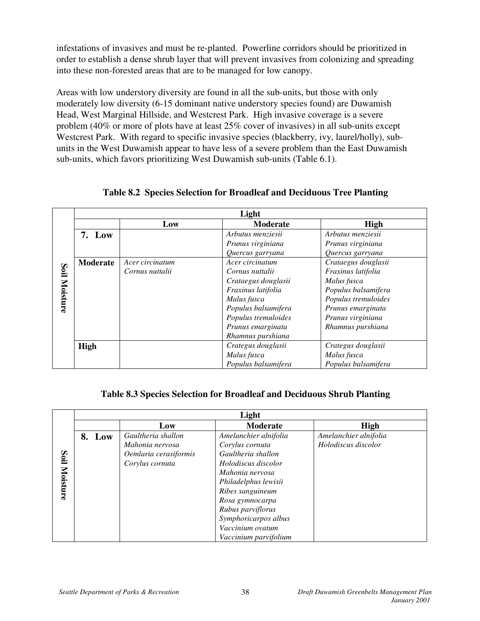infestations of invasives and must be re-planted. Powerline corridors should be prioritized in order to establish a dense shrub layer that will prevent invasives from colonizing and spreading into these non-forested areas that are to be managed for low canopy.

Areas with low understory diversity are found in all the sub-units, but those with only moderately low diversity (6-15 dominant native understory species found) are Duwamish Head, West Marginal Hillside, and Westcrest Park. High invasive coverage is a severe problem (40% or more of plots have at least 25% cover of invasives) in all sub-units except Westcrest Park. With regard to specific invasive species (blackberry, ivy, laurel/holly), subunits in the West Duwamish appear to have less of a severe problem than the East Duwamish sub-units, which favors prioritizing West Duwamish sub-units (Table 6.1).

|          | Light       |                 |                     |                     |  |  |
|----------|-------------|-----------------|---------------------|---------------------|--|--|
|          |             | Low             | <b>Moderate</b>     | <b>High</b>         |  |  |
|          | 7. Low      |                 | Arbutus menziesii   | Arbutus menziesii   |  |  |
|          |             |                 | Prunus virginiana   | Prunus virginiana   |  |  |
|          |             |                 | Quercus garryana    | Quercus garryana    |  |  |
|          | Moderate    | Acer circinatum | Acer circinatum     | Crataegus douglasii |  |  |
| Soil     |             | Cornus nuttalii | Cornus nuttalii     | Fraxinus latifolia  |  |  |
|          |             |                 | Crataegus douglasii | Malus fusca         |  |  |
| Moisture |             |                 | Fraxinus latifolia  | Populus balsamifera |  |  |
|          |             |                 | Malus fusca         | Populus tremuloides |  |  |
|          |             |                 | Populus balsamifera | Prunus emarginata   |  |  |
|          |             |                 | Populus tremuloides | Prunus virginiana   |  |  |
|          |             |                 | Prunus emarginata   | Rhamnus purshiana   |  |  |
|          |             |                 | Rhamnus purshiana   |                     |  |  |
|          | <b>High</b> |                 | Crategus douglasii  | Crategus douglasii  |  |  |
|          |             |                 | Malus fusca         | Malus fusca         |  |  |
|          |             |                 | Populus balsamifera | Populus balsamifera |  |  |

**Table 8.2 Species Selection for Broadleaf and Deciduous Tree Planting**

### **Table 8.3 Species Selection for Broadleaf and Deciduous Shrub Planting**

|                  | Light  |                                                                                   |                                                                                                                                                                                              |                                              |  |  |  |  |
|------------------|--------|-----------------------------------------------------------------------------------|----------------------------------------------------------------------------------------------------------------------------------------------------------------------------------------------|----------------------------------------------|--|--|--|--|
|                  |        | Low                                                                               | <b>Moderate</b>                                                                                                                                                                              | <b>High</b>                                  |  |  |  |  |
| Soil<br>Moisture | 8. Low | Gaultheria shallon<br>Mahonia nervosa<br>Oemlaria cerasiformis<br>Corylus cornuta | Amelanchier alnifolia<br>Corylus cornuta<br>Gaultheria shallon<br>Holodiscus discolor<br>Mahonia nervosa<br>Philadelphus lewisii<br>Ribes sanguineum<br>Rosa gymnocarpa<br>Rubus parviflorus | Amelanchier alnifolia<br>Holodiscus discolor |  |  |  |  |
|                  |        |                                                                                   | Symphoricarpos albus<br>Vaccinium ovatum<br>Vaccinium parvifolium                                                                                                                            |                                              |  |  |  |  |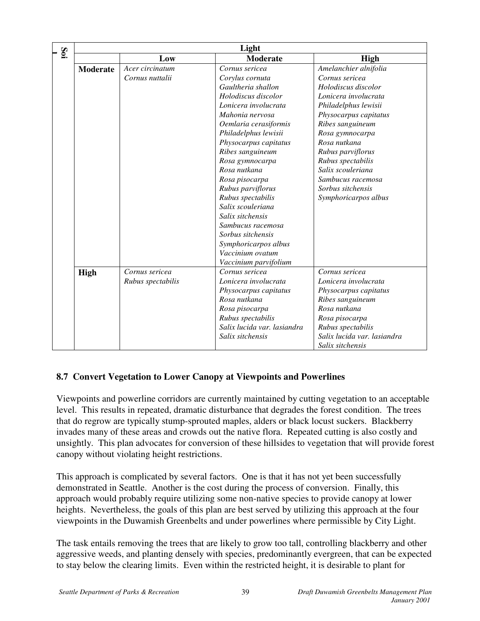| Soi | Light           |                   |                             |                             |  |  |
|-----|-----------------|-------------------|-----------------------------|-----------------------------|--|--|
|     |                 | Low               | <b>Moderate</b>             | High                        |  |  |
|     | <b>Moderate</b> | Acer circinatum   | Cornus sericea              | Amelanchier alnifolia       |  |  |
|     |                 | Cornus nuttalii   | Corylus cornuta             | Cornus sericea              |  |  |
|     |                 |                   | Gaultheria shallon          | Holodiscus discolor         |  |  |
|     |                 |                   | Holodiscus discolor         | Lonicera involucrata        |  |  |
|     |                 |                   | Lonicera involucrata        | Philadelphus lewisii        |  |  |
|     |                 |                   | Mahonia nervosa             | Physocarpus capitatus       |  |  |
|     |                 |                   | Oemlaria cerasiformis       | Ribes sanguineum            |  |  |
|     |                 |                   | Philadelphus lewisii        | Rosa gymnocarpa             |  |  |
|     |                 |                   | Physocarpus capitatus       | Rosa nutkana                |  |  |
|     |                 |                   | Ribes sanguineum            | Rubus parviflorus           |  |  |
|     |                 |                   | Rosa gymnocarpa             | Rubus spectabilis           |  |  |
|     |                 |                   | Rosa nutkana                | Salix scouleriana           |  |  |
|     |                 |                   | Rosa pisocarpa              | Sambucus racemosa           |  |  |
|     |                 |                   | Rubus parviflorus           | Sorbus sitchensis           |  |  |
|     |                 |                   | Rubus spectabilis           | Symphoricarpos albus        |  |  |
|     |                 |                   | Salix scouleriana           |                             |  |  |
|     |                 |                   | Salix sitchensis            |                             |  |  |
|     |                 |                   | Sambucus racemosa           |                             |  |  |
|     |                 |                   | Sorbus sitchensis           |                             |  |  |
|     |                 |                   | Symphoricarpos albus        |                             |  |  |
|     |                 |                   | Vaccinium ovatum            |                             |  |  |
|     |                 |                   | Vaccinium parvifolium       |                             |  |  |
|     | High            | Cornus sericea    | Cornus sericea              | Cornus sericea              |  |  |
|     |                 | Rubus spectabilis | Lonicera involucrata        | Lonicera involucrata        |  |  |
|     |                 |                   | Physocarpus capitatus       | Physocarpus capitatus       |  |  |
|     |                 |                   | Rosa nutkana                | Ribes sanguineum            |  |  |
|     |                 |                   | Rosa pisocarpa              | Rosa nutkana                |  |  |
|     |                 |                   | Rubus spectabilis           | Rosa pisocarpa              |  |  |
|     |                 |                   | Salix lucida var. lasiandra | Rubus spectabilis           |  |  |
|     |                 |                   | Salix sitchensis            | Salix lucida var. lasiandra |  |  |
|     |                 |                   |                             | Salix sitchensis            |  |  |

## **8.7 Convert Vegetation to Lower Canopy at Viewpoints and Powerlines**

Viewpoints and powerline corridors are currently maintained by cutting vegetation to an acceptable level. This results in repeated, dramatic disturbance that degrades the forest condition. The trees that do regrow are typically stump-sprouted maples, alders or black locust suckers. Blackberry invades many of these areas and crowds out the native flora. Repeated cutting is also costly and unsightly. This plan advocates for conversion of these hillsides to vegetation that will provide forest canopy without violating height restrictions.

This approach is complicated by several factors. One is that it has not yet been successfully demonstrated in Seattle. Another is the cost during the process of conversion. Finally, this approach would probably require utilizing some non-native species to provide canopy at lower heights. Nevertheless, the goals of this plan are best served by utilizing this approach at the four viewpoints in the Duwamish Greenbelts and under powerlines where permissible by City Light.

The task entails removing the trees that are likely to grow too tall, controlling blackberry and other aggressive weeds, and planting densely with species, predominantly evergreen, that can be expected to stay below the clearing limits. Even within the restricted height, it is desirable to plant for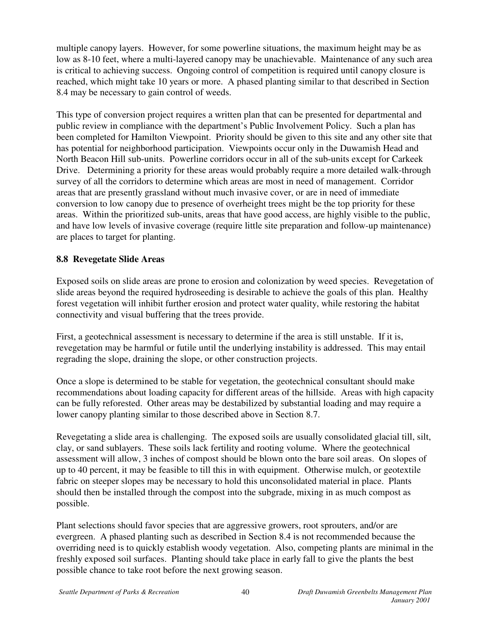multiple canopy layers. However, for some powerline situations, the maximum height may be as low as 8-10 feet, where a multi-layered canopy may be unachievable. Maintenance of any such area is critical to achieving success. Ongoing control of competition is required until canopy closure is reached, which might take 10 years or more. A phased planting similar to that described in Section 8.4 may be necessary to gain control of weeds.

This type of conversion project requires a written plan that can be presented for departmental and public review in compliance with the department's Public Involvement Policy. Such a plan has been completed for Hamilton Viewpoint. Priority should be given to this site and any other site that has potential for neighborhood participation. Viewpoints occur only in the Duwamish Head and North Beacon Hill sub-units. Powerline corridors occur in all of the sub-units except for Carkeek Drive. Determining a priority for these areas would probably require a more detailed walk-through survey of all the corridors to determine which areas are most in need of management. Corridor areas that are presently grassland without much invasive cover, or are in need of immediate conversion to low canopy due to presence of overheight trees might be the top priority for these areas. Within the prioritized sub-units, areas that have good access, are highly visible to the public, and have low levels of invasive coverage (require little site preparation and follow-up maintenance) are places to target for planting.

### **8.8 Revegetate Slide Areas**

Exposed soils on slide areas are prone to erosion and colonization by weed species. Revegetation of slide areas beyond the required hydroseeding is desirable to achieve the goals of this plan. Healthy forest vegetation will inhibit further erosion and protect water quality, while restoring the habitat connectivity and visual buffering that the trees provide.

First, a geotechnical assessment is necessary to determine if the area is still unstable. If it is, revegetation may be harmful or futile until the underlying instability is addressed. This may entail regrading the slope, draining the slope, or other construction projects.

Once a slope is determined to be stable for vegetation, the geotechnical consultant should make recommendations about loading capacity for different areas of the hillside. Areas with high capacity can be fully reforested. Other areas may be destabilized by substantial loading and may require a lower canopy planting similar to those described above in Section 8.7.

Revegetating a slide area is challenging. The exposed soils are usually consolidated glacial till, silt, clay, or sand sublayers. These soils lack fertility and rooting volume. Where the geotechnical assessment will allow, 3 inches of compost should be blown onto the bare soil areas. On slopes of up to 40 percent, it may be feasible to till this in with equipment. Otherwise mulch, or geotextile fabric on steeper slopes may be necessary to hold this unconsolidated material in place. Plants should then be installed through the compost into the subgrade, mixing in as much compost as possible.

Plant selections should favor species that are aggressive growers, root sprouters, and/or are evergreen. A phased planting such as described in Section 8.4 is not recommended because the overriding need is to quickly establish woody vegetation. Also, competing plants are minimal in the freshly exposed soil surfaces. Planting should take place in early fall to give the plants the best possible chance to take root before the next growing season.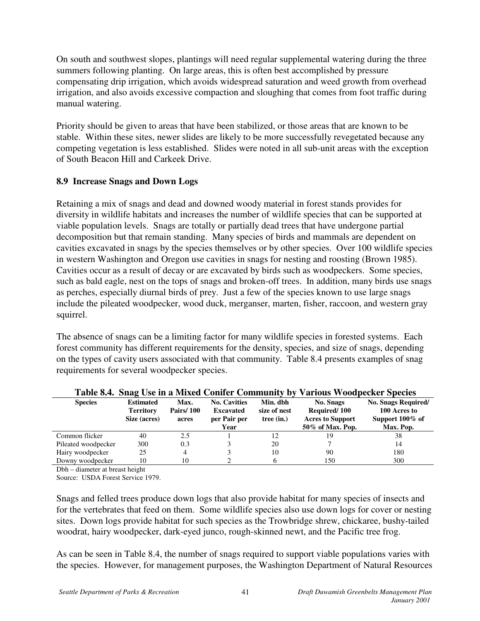On south and southwest slopes, plantings will need regular supplemental watering during the three summers following planting. On large areas, this is often best accomplished by pressure compensating drip irrigation, which avoids widespread saturation and weed growth from overhead irrigation, and also avoids excessive compaction and sloughing that comes from foot traffic during manual watering.

Priority should be given to areas that have been stabilized, or those areas that are known to be stable. Within these sites, newer slides are likely to be more successfully revegetated because any competing vegetation is less established. Slides were noted in all sub-unit areas with the exception of South Beacon Hill and Carkeek Drive.

### **8.9 Increase Snags and Down Logs**

Retaining a mix of snags and dead and downed woody material in forest stands provides for diversity in wildlife habitats and increases the number of wildlife species that can be supported at viable population levels. Snags are totally or partially dead trees that have undergone partial decomposition but that remain standing. Many species of birds and mammals are dependent on cavities excavated in snags by the species themselves or by other species. Over 100 wildlife species in western Washington and Oregon use cavities in snags for nesting and roosting (Brown 1985). Cavities occur as a result of decay or are excavated by birds such as woodpeckers. Some species, such as bald eagle, nest on the tops of snags and broken-off trees. In addition, many birds use snags as perches, especially diurnal birds of prey. Just a few of the species known to use large snags include the pileated woodpecker, wood duck, merganser, marten, fisher, raccoon, and western gray squirrel.

The absence of snags can be a limiting factor for many wildlife species in forested systems. Each forest community has different requirements for the density, species, and size of snags, depending on the types of cavity users associated with that community. Table 8.4 presents examples of snag requirements for several woodpecker species.

| <b>Species</b>      | <b>Estimated</b><br><b>Territory</b><br>Size (acres) | Max.<br><b>Pairs/100</b><br>acres | <b>No. Cavities</b><br><b>Excavated</b><br>per Pair per<br>Year | Min. dbh<br>size of nest<br>tree (in.) | <b>No. Snags</b><br>Required/100<br><b>Acres to Support</b><br>50% of Max. Pop. | No. Snags Required/<br>100 Acres to<br>Support 100% of<br>Max. Pop. |
|---------------------|------------------------------------------------------|-----------------------------------|-----------------------------------------------------------------|----------------------------------------|---------------------------------------------------------------------------------|---------------------------------------------------------------------|
| Common flicker      | 40                                                   | 2.5                               |                                                                 | 12                                     | 19                                                                              | 38                                                                  |
| Pileated woodpecker | 300                                                  | 0.3                               |                                                                 | 20                                     |                                                                                 | 14                                                                  |
| Hairy woodpecker    | 25                                                   | 4                                 |                                                                 | 10                                     | 90                                                                              | 180                                                                 |
| Downy woodpecker    | 10                                                   | 10                                |                                                                 |                                        | 150                                                                             | 300                                                                 |

#### **Table 8.4. Snag Use in a Mixed Conifer Community by Various Woodpecker Species**

Dbh – diameter at breast height

Source: USDA Forest Service 1979.

Snags and felled trees produce down logs that also provide habitat for many species of insects and for the vertebrates that feed on them. Some wildlife species also use down logs for cover or nesting sites. Down logs provide habitat for such species as the Trowbridge shrew, chickaree, bushy-tailed woodrat, hairy woodpecker, dark-eyed junco, rough-skinned newt, and the Pacific tree frog.

As can be seen in Table 8.4, the number of snags required to support viable populations varies with the species. However, for management purposes, the Washington Department of Natural Resources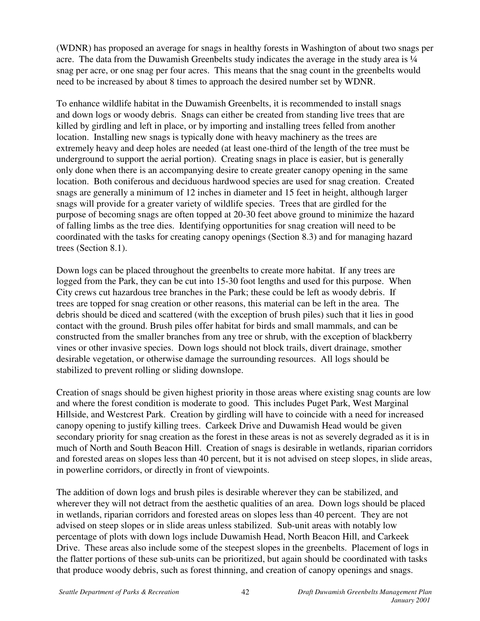(WDNR) has proposed an average for snags in healthy forests in Washington of about two snags per acre. The data from the Duwamish Greenbelts study indicates the average in the study area is  $\frac{1}{4}$ snag per acre, or one snag per four acres. This means that the snag count in the greenbelts would need to be increased by about 8 times to approach the desired number set by WDNR.

To enhance wildlife habitat in the Duwamish Greenbelts, it is recommended to install snags and down logs or woody debris. Snags can either be created from standing live trees that are killed by girdling and left in place, or by importing and installing trees felled from another location. Installing new snags is typically done with heavy machinery as the trees are extremely heavy and deep holes are needed (at least one-third of the length of the tree must be underground to support the aerial portion). Creating snags in place is easier, but is generally only done when there is an accompanying desire to create greater canopy opening in the same location. Both coniferous and deciduous hardwood species are used for snag creation. Created snags are generally a minimum of 12 inches in diameter and 15 feet in height, although larger snags will provide for a greater variety of wildlife species. Trees that are girdled for the purpose of becoming snags are often topped at 20-30 feet above ground to minimize the hazard of falling limbs as the tree dies. Identifying opportunities for snag creation will need to be coordinated with the tasks for creating canopy openings (Section 8.3) and for managing hazard trees (Section 8.1).

Down logs can be placed throughout the greenbelts to create more habitat. If any trees are logged from the Park, they can be cut into 15-30 foot lengths and used for this purpose. When City crews cut hazardous tree branches in the Park; these could be left as woody debris. If trees are topped for snag creation or other reasons, this material can be left in the area. The debris should be diced and scattered (with the exception of brush piles) such that it lies in good contact with the ground. Brush piles offer habitat for birds and small mammals, and can be constructed from the smaller branches from any tree or shrub, with the exception of blackberry vines or other invasive species. Down logs should not block trails, divert drainage, smother desirable vegetation, or otherwise damage the surrounding resources. All logs should be stabilized to prevent rolling or sliding downslope.

Creation of snags should be given highest priority in those areas where existing snag counts are low and where the forest condition is moderate to good. This includes Puget Park, West Marginal Hillside, and Westcrest Park. Creation by girdling will have to coincide with a need for increased canopy opening to justify killing trees. Carkeek Drive and Duwamish Head would be given secondary priority for snag creation as the forest in these areas is not as severely degraded as it is in much of North and South Beacon Hill. Creation of snags is desirable in wetlands, riparian corridors and forested areas on slopes less than 40 percent, but it is not advised on steep slopes, in slide areas, in powerline corridors, or directly in front of viewpoints.

The addition of down logs and brush piles is desirable wherever they can be stabilized, and wherever they will not detract from the aesthetic qualities of an area. Down logs should be placed in wetlands, riparian corridors and forested areas on slopes less than 40 percent. They are not advised on steep slopes or in slide areas unless stabilized. Sub-unit areas with notably low percentage of plots with down logs include Duwamish Head, North Beacon Hill, and Carkeek Drive. These areas also include some of the steepest slopes in the greenbelts. Placement of logs in the flatter portions of these sub-units can be prioritized, but again should be coordinated with tasks that produce woody debris, such as forest thinning, and creation of canopy openings and snags.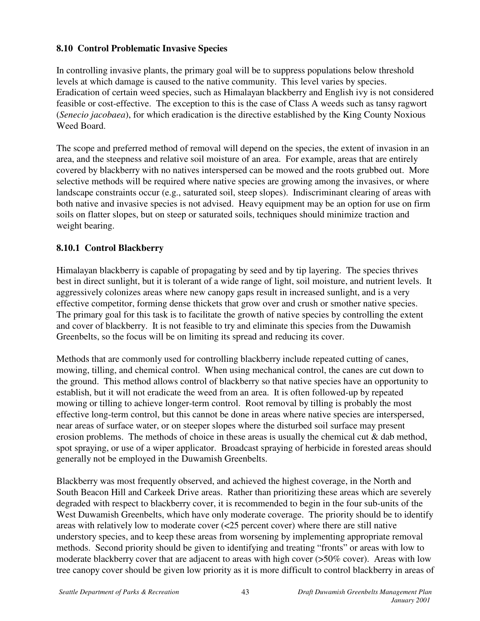## **8.10 Control Problematic Invasive Species**

In controlling invasive plants, the primary goal will be to suppress populations below threshold levels at which damage is caused to the native community. This level varies by species. Eradication of certain weed species, such as Himalayan blackberry and English ivy is not considered feasible or cost-effective. The exception to this is the case of Class A weeds such as tansy ragwort (*Senecio jacobaea*), for which eradication is the directive established by the King County Noxious Weed Board.

The scope and preferred method of removal will depend on the species, the extent of invasion in an area, and the steepness and relative soil moisture of an area. For example, areas that are entirely covered by blackberry with no natives interspersed can be mowed and the roots grubbed out. More selective methods will be required where native species are growing among the invasives, or where landscape constraints occur (e.g., saturated soil, steep slopes). Indiscriminant clearing of areas with both native and invasive species is not advised. Heavy equipment may be an option for use on firm soils on flatter slopes, but on steep or saturated soils, techniques should minimize traction and weight bearing.

## **8.10.1 Control Blackberry**

Himalayan blackberry is capable of propagating by seed and by tip layering. The species thrives best in direct sunlight, but it is tolerant of a wide range of light, soil moisture, and nutrient levels. It aggressively colonizes areas where new canopy gaps result in increased sunlight, and is a very effective competitor, forming dense thickets that grow over and crush or smother native species. The primary goal for this task is to facilitate the growth of native species by controlling the extent and cover of blackberry. It is not feasible to try and eliminate this species from the Duwamish Greenbelts, so the focus will be on limiting its spread and reducing its cover.

Methods that are commonly used for controlling blackberry include repeated cutting of canes, mowing, tilling, and chemical control. When using mechanical control, the canes are cut down to the ground. This method allows control of blackberry so that native species have an opportunity to establish, but it will not eradicate the weed from an area. It is often followed-up by repeated mowing or tilling to achieve longer-term control. Root removal by tilling is probably the most effective long-term control, but this cannot be done in areas where native species are interspersed, near areas of surface water, or on steeper slopes where the disturbed soil surface may present erosion problems. The methods of choice in these areas is usually the chemical cut & dab method, spot spraying, or use of a wiper applicator. Broadcast spraying of herbicide in forested areas should generally not be employed in the Duwamish Greenbelts.

Blackberry was most frequently observed, and achieved the highest coverage, in the North and South Beacon Hill and Carkeek Drive areas. Rather than prioritizing these areas which are severely degraded with respect to blackberry cover, it is recommended to begin in the four sub-units of the West Duwamish Greenbelts, which have only moderate coverage. The priority should be to identify areas with relatively low to moderate cover (<25 percent cover) where there are still native understory species, and to keep these areas from worsening by implementing appropriate removal methods. Second priority should be given to identifying and treating "fronts" or areas with low to moderate blackberry cover that are adjacent to areas with high cover (>50% cover). Areas with low tree canopy cover should be given low priority as it is more difficult to control blackberry in areas of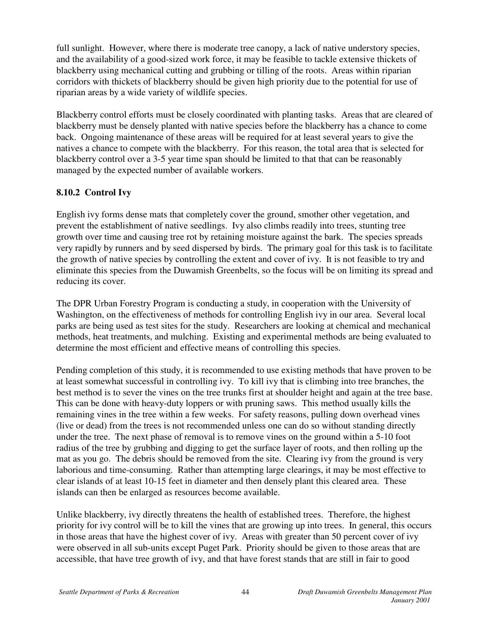full sunlight. However, where there is moderate tree canopy, a lack of native understory species, and the availability of a good-sized work force, it may be feasible to tackle extensive thickets of blackberry using mechanical cutting and grubbing or tilling of the roots. Areas within riparian corridors with thickets of blackberry should be given high priority due to the potential for use of riparian areas by a wide variety of wildlife species.

Blackberry control efforts must be closely coordinated with planting tasks. Areas that are cleared of blackberry must be densely planted with native species before the blackberry has a chance to come back. Ongoing maintenance of these areas will be required for at least several years to give the natives a chance to compete with the blackberry. For this reason, the total area that is selected for blackberry control over a 3-5 year time span should be limited to that that can be reasonably managed by the expected number of available workers.

## **8.10.2 Control Ivy**

English ivy forms dense mats that completely cover the ground, smother other vegetation, and prevent the establishment of native seedlings. Ivy also climbs readily into trees, stunting tree growth over time and causing tree rot by retaining moisture against the bark. The species spreads very rapidly by runners and by seed dispersed by birds. The primary goal for this task is to facilitate the growth of native species by controlling the extent and cover of ivy. It is not feasible to try and eliminate this species from the Duwamish Greenbelts, so the focus will be on limiting its spread and reducing its cover.

The DPR Urban Forestry Program is conducting a study, in cooperation with the University of Washington, on the effectiveness of methods for controlling English ivy in our area. Several local parks are being used as test sites for the study. Researchers are looking at chemical and mechanical methods, heat treatments, and mulching. Existing and experimental methods are being evaluated to determine the most efficient and effective means of controlling this species.

Pending completion of this study, it is recommended to use existing methods that have proven to be at least somewhat successful in controlling ivy. To kill ivy that is climbing into tree branches, the best method is to sever the vines on the tree trunks first at shoulder height and again at the tree base. This can be done with heavy-duty loppers or with pruning saws. This method usually kills the remaining vines in the tree within a few weeks. For safety reasons, pulling down overhead vines (live or dead) from the trees is not recommended unless one can do so without standing directly under the tree. The next phase of removal is to remove vines on the ground within a 5-10 foot radius of the tree by grubbing and digging to get the surface layer of roots, and then rolling up the mat as you go. The debris should be removed from the site. Clearing ivy from the ground is very laborious and time-consuming. Rather than attempting large clearings, it may be most effective to clear islands of at least 10-15 feet in diameter and then densely plant this cleared area. These islands can then be enlarged as resources become available.

Unlike blackberry, ivy directly threatens the health of established trees. Therefore, the highest priority for ivy control will be to kill the vines that are growing up into trees. In general, this occurs in those areas that have the highest cover of ivy. Areas with greater than 50 percent cover of ivy were observed in all sub-units except Puget Park. Priority should be given to those areas that are accessible, that have tree growth of ivy, and that have forest stands that are still in fair to good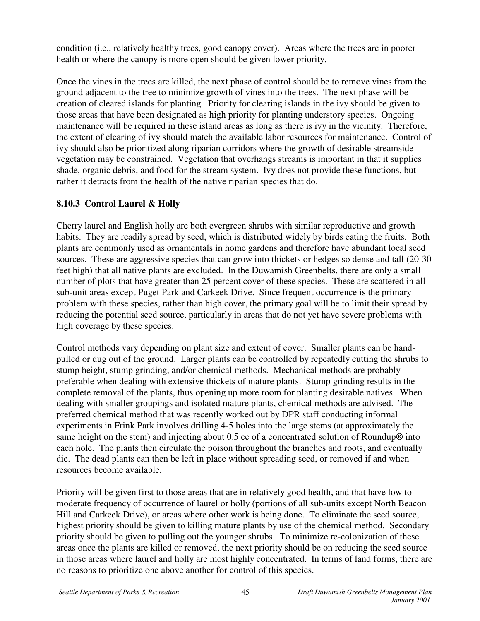condition (i.e., relatively healthy trees, good canopy cover). Areas where the trees are in poorer health or where the canopy is more open should be given lower priority.

Once the vines in the trees are killed, the next phase of control should be to remove vines from the ground adjacent to the tree to minimize growth of vines into the trees. The next phase will be creation of cleared islands for planting. Priority for clearing islands in the ivy should be given to those areas that have been designated as high priority for planting understory species. Ongoing maintenance will be required in these island areas as long as there is ivy in the vicinity. Therefore, the extent of clearing of ivy should match the available labor resources for maintenance. Control of ivy should also be prioritized along riparian corridors where the growth of desirable streamside vegetation may be constrained. Vegetation that overhangs streams is important in that it supplies shade, organic debris, and food for the stream system. Ivy does not provide these functions, but rather it detracts from the health of the native riparian species that do.

## **8.10.3 Control Laurel & Holly**

Cherry laurel and English holly are both evergreen shrubs with similar reproductive and growth habits. They are readily spread by seed, which is distributed widely by birds eating the fruits. Both plants are commonly used as ornamentals in home gardens and therefore have abundant local seed sources. These are aggressive species that can grow into thickets or hedges so dense and tall (20-30) feet high) that all native plants are excluded. In the Duwamish Greenbelts, there are only a small number of plots that have greater than 25 percent cover of these species. These are scattered in all sub-unit areas except Puget Park and Carkeek Drive. Since frequent occurrence is the primary problem with these species, rather than high cover, the primary goal will be to limit their spread by reducing the potential seed source, particularly in areas that do not yet have severe problems with high coverage by these species.

Control methods vary depending on plant size and extent of cover. Smaller plants can be handpulled or dug out of the ground. Larger plants can be controlled by repeatedly cutting the shrubs to stump height, stump grinding, and/or chemical methods. Mechanical methods are probably preferable when dealing with extensive thickets of mature plants. Stump grinding results in the complete removal of the plants, thus opening up more room for planting desirable natives. When dealing with smaller groupings and isolated mature plants, chemical methods are advised. The preferred chemical method that was recently worked out by DPR staff conducting informal experiments in Frink Park involves drilling 4-5 holes into the large stems (at approximately the same height on the stem) and injecting about 0.5 cc of a concentrated solution of Roundup® into each hole. The plants then circulate the poison throughout the branches and roots, and eventually die. The dead plants can then be left in place without spreading seed, or removed if and when resources become available.

Priority will be given first to those areas that are in relatively good health, and that have low to moderate frequency of occurrence of laurel or holly (portions of all sub-units except North Beacon Hill and Carkeek Drive), or areas where other work is being done. To eliminate the seed source, highest priority should be given to killing mature plants by use of the chemical method. Secondary priority should be given to pulling out the younger shrubs. To minimize re-colonization of these areas once the plants are killed or removed, the next priority should be on reducing the seed source in those areas where laurel and holly are most highly concentrated. In terms of land forms, there are no reasons to prioritize one above another for control of this species.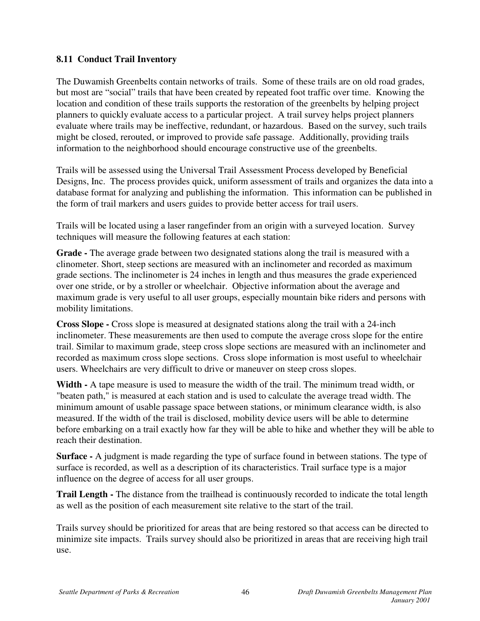### **8.11 Conduct Trail Inventory**

The Duwamish Greenbelts contain networks of trails. Some of these trails are on old road grades, but most are "social" trails that have been created by repeated foot traffic over time. Knowing the location and condition of these trails supports the restoration of the greenbelts by helping project planners to quickly evaluate access to a particular project. A trail survey helps project planners evaluate where trails may be ineffective, redundant, or hazardous. Based on the survey, such trails might be closed, rerouted, or improved to provide safe passage. Additionally, providing trails information to the neighborhood should encourage constructive use of the greenbelts.

Trails will be assessed using the Universal Trail Assessment Process developed by Beneficial Designs, Inc. The process provides quick, uniform assessment of trails and organizes the data into a database format for analyzing and publishing the information. This information can be published in the form of trail markers and users guides to provide better access for trail users.

Trails will be located using a laser rangefinder from an origin with a surveyed location. Survey techniques will measure the following features at each station:

**Grade -** The average grade between two designated stations along the trail is measured with a clinometer. Short, steep sections are measured with an inclinometer and recorded as maximum grade sections. The inclinometer is 24 inches in length and thus measures the grade experienced over one stride, or by a stroller or wheelchair. Objective information about the average and maximum grade is very useful to all user groups, especially mountain bike riders and persons with mobility limitations.

**Cross Slope -** Cross slope is measured at designated stations along the trail with a 24-inch inclinometer. These measurements are then used to compute the average cross slope for the entire trail. Similar to maximum grade, steep cross slope sections are measured with an inclinometer and recorded as maximum cross slope sections. Cross slope information is most useful to wheelchair users. Wheelchairs are very difficult to drive or maneuver on steep cross slopes.

**Width -** A tape measure is used to measure the width of the trail. The minimum tread width, or "beaten path," is measured at each station and is used to calculate the average tread width. The minimum amount of usable passage space between stations, or minimum clearance width, is also measured. If the width of the trail is disclosed, mobility device users will be able to determine before embarking on a trail exactly how far they will be able to hike and whether they will be able to reach their destination.

**Surface -** A judgment is made regarding the type of surface found in between stations. The type of surface is recorded, as well as a description of its characteristics. Trail surface type is a major influence on the degree of access for all user groups.

**Trail Length -** The distance from the trailhead is continuously recorded to indicate the total length as well as the position of each measurement site relative to the start of the trail.

Trails survey should be prioritized for areas that are being restored so that access can be directed to minimize site impacts. Trails survey should also be prioritized in areas that are receiving high trail use.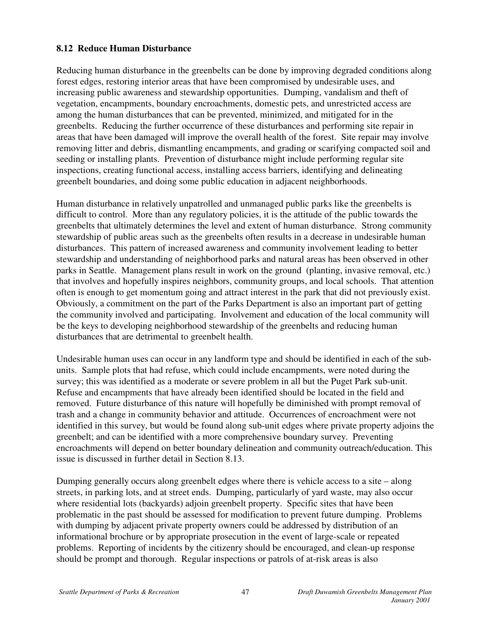## **8.12 Reduce Human Disturbance**

Reducing human disturbance in the greenbelts can be done by improving degraded conditions along forest edges, restoring interior areas that have been compromised by undesirable uses, and increasing public awareness and stewardship opportunities. Dumping, vandalism and theft of vegetation, encampments, boundary encroachments, domestic pets, and unrestricted access are among the human disturbances that can be prevented, minimized, and mitigated for in the greenbelts. Reducing the further occurrence of these disturbances and performing site repair in areas that have been damaged will improve the overall health of the forest. Site repair may involve removing litter and debris, dismantling encampments, and grading or scarifying compacted soil and seeding or installing plants. Prevention of disturbance might include performing regular site inspections, creating functional access, installing access barriers, identifying and delineating greenbelt boundaries, and doing some public education in adjacent neighborhoods.

Human disturbance in relatively unpatrolled and unmanaged public parks like the greenbelts is difficult to control. More than any regulatory policies, it is the attitude of the public towards the greenbelts that ultimately determines the level and extent of human disturbance. Strong community stewardship of public areas such as the greenbelts often results in a decrease in undesirable human disturbances. This pattern of increased awareness and community involvement leading to better stewardship and understanding of neighborhood parks and natural areas has been observed in other parks in Seattle. Management plans result in work on the ground (planting, invasive removal, etc.) that involves and hopefully inspires neighbors, community groups, and local schools. That attention often is enough to get momentum going and attract interest in the park that did not previously exist. Obviously, a commitment on the part of the Parks Department is also an important part of getting the community involved and participating. Involvement and education of the local community will be the keys to developing neighborhood stewardship of the greenbelts and reducing human disturbances that are detrimental to greenbelt health.

Undesirable human uses can occur in any landform type and should be identified in each of the subunits. Sample plots that had refuse, which could include encampments, were noted during the survey; this was identified as a moderate or severe problem in all but the Puget Park sub-unit. Refuse and encampments that have already been identified should be located in the field and removed. Future disturbance of this nature will hopefully be diminished with prompt removal of trash and a change in community behavior and attitude. Occurrences of encroachment were not identified in this survey, but would be found along sub-unit edges where private property adjoins the greenbelt; and can be identified with a more comprehensive boundary survey. Preventing encroachments will depend on better boundary delineation and community outreach/education. This issue is discussed in further detail in Section 8.13.

Dumping generally occurs along greenbelt edges where there is vehicle access to a site – along streets, in parking lots, and at street ends. Dumping, particularly of yard waste, may also occur where residential lots (backyards) adjoin greenbelt property. Specific sites that have been problematic in the past should be assessed for modification to prevent future dumping. Problems with dumping by adjacent private property owners could be addressed by distribution of an informational brochure or by appropriate prosecution in the event of large-scale or repeated problems. Reporting of incidents by the citizenry should be encouraged, and clean-up response should be prompt and thorough. Regular inspections or patrols of at-risk areas is also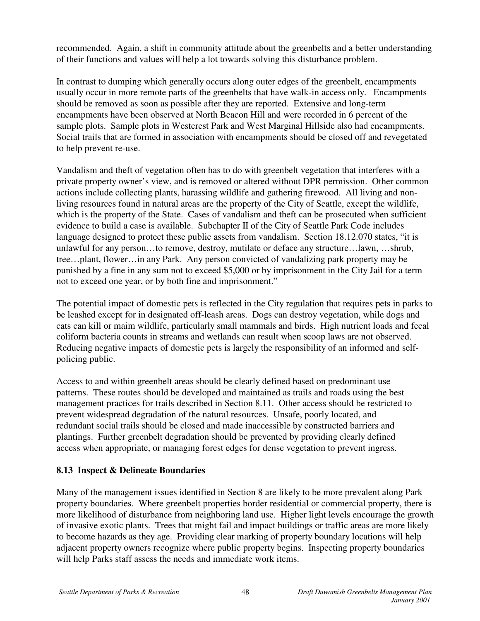recommended. Again, a shift in community attitude about the greenbelts and a better understanding of their functions and values will help a lot towards solving this disturbance problem.

In contrast to dumping which generally occurs along outer edges of the greenbelt, encampments usually occur in more remote parts of the greenbelts that have walk-in access only. Encampments should be removed as soon as possible after they are reported. Extensive and long-term encampments have been observed at North Beacon Hill and were recorded in 6 percent of the sample plots. Sample plots in Westcrest Park and West Marginal Hillside also had encampments. Social trails that are formed in association with encampments should be closed off and revegetated to help prevent re-use.

Vandalism and theft of vegetation often has to do with greenbelt vegetation that interferes with a private property owner's view, and is removed or altered without DPR permission. Other common actions include collecting plants, harassing wildlife and gathering firewood. All living and nonliving resources found in natural areas are the property of the City of Seattle, except the wildlife, which is the property of the State. Cases of vandalism and theft can be prosecuted when sufficient evidence to build a case is available. Subchapter II of the City of Seattle Park Code includes language designed to protect these public assets from vandalism. Section 18.12.070 states, "it is unlawful for any person…to remove, destroy, mutilate or deface any structure…lawn, …shrub, tree…plant, flower…in any Park. Any person convicted of vandalizing park property may be punished by a fine in any sum not to exceed \$5,000 or by imprisonment in the City Jail for a term not to exceed one year, or by both fine and imprisonment."

The potential impact of domestic pets is reflected in the City regulation that requires pets in parks to be leashed except for in designated off-leash areas. Dogs can destroy vegetation, while dogs and cats can kill or maim wildlife, particularly small mammals and birds. High nutrient loads and fecal coliform bacteria counts in streams and wetlands can result when scoop laws are not observed. Reducing negative impacts of domestic pets is largely the responsibility of an informed and selfpolicing public.

Access to and within greenbelt areas should be clearly defined based on predominant use patterns. These routes should be developed and maintained as trails and roads using the best management practices for trails described in Section 8.11. Other access should be restricted to prevent widespread degradation of the natural resources. Unsafe, poorly located, and redundant social trails should be closed and made inaccessible by constructed barriers and plantings. Further greenbelt degradation should be prevented by providing clearly defined access when appropriate, or managing forest edges for dense vegetation to prevent ingress.

### **8.13 Inspect & Delineate Boundaries**

Many of the management issues identified in Section 8 are likely to be more prevalent along Park property boundaries. Where greenbelt properties border residential or commercial property, there is more likelihood of disturbance from neighboring land use. Higher light levels encourage the growth of invasive exotic plants. Trees that might fail and impact buildings or traffic areas are more likely to become hazards as they age. Providing clear marking of property boundary locations will help adjacent property owners recognize where public property begins. Inspecting property boundaries will help Parks staff assess the needs and immediate work items.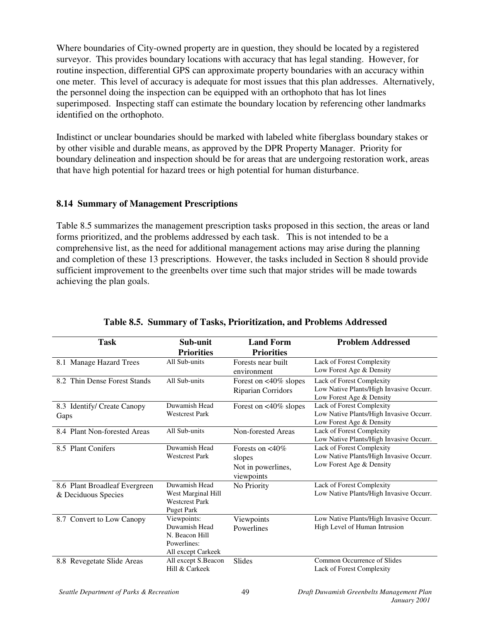Where boundaries of City-owned property are in question, they should be located by a registered surveyor. This provides boundary locations with accuracy that has legal standing. However, for routine inspection, differential GPS can approximate property boundaries with an accuracy within one meter. This level of accuracy is adequate for most issues that this plan addresses. Alternatively, the personnel doing the inspection can be equipped with an orthophoto that has lot lines superimposed. Inspecting staff can estimate the boundary location by referencing other landmarks identified on the orthophoto.

Indistinct or unclear boundaries should be marked with labeled white fiberglass boundary stakes or by other visible and durable means, as approved by the DPR Property Manager. Priority for boundary delineation and inspection should be for areas that are undergoing restoration work, areas that have high potential for hazard trees or high potential for human disturbance.

### **8.14 Summary of Management Prescriptions**

Table 8.5 summarizes the management prescription tasks proposed in this section, the areas or land forms prioritized, and the problems addressed by each task. This is not intended to be a comprehensive list, as the need for additional management actions may arise during the planning and completion of these 13 prescriptions. However, the tasks included in Section 8 should provide sufficient improvement to the greenbelts over time such that major strides will be made towards achieving the plan goals.

| <b>Task</b>                                          | Sub-unit<br><b>Priorities</b>                                                       | <b>Land Form</b><br><b>Priorities</b>                                   | <b>Problem Addressed</b>                                                                         |
|------------------------------------------------------|-------------------------------------------------------------------------------------|-------------------------------------------------------------------------|--------------------------------------------------------------------------------------------------|
| 8.1 Manage Hazard Trees                              | All Sub-units                                                                       | Forests near built<br>environment                                       | Lack of Forest Complexity<br>Low Forest Age & Density                                            |
| 8.2 Thin Dense Forest Stands                         | All Sub-units                                                                       | Forest on $<40\%$ slopes<br>Riparian Corridors                          | Lack of Forest Complexity<br>Low Native Plants/High Invasive Occurr.<br>Low Forest Age & Density |
| 8.3 Identify/ Create Canopy<br>Gaps                  | Duwamish Head<br><b>Westcrest Park</b>                                              | Forest on $<40\%$ slopes                                                | Lack of Forest Complexity<br>Low Native Plants/High Invasive Occurr.<br>Low Forest Age & Density |
| 8.4 Plant Non-forested Areas                         | All Sub-units                                                                       | Non-forested Areas                                                      | Lack of Forest Complexity<br>Low Native Plants/High Invasive Occurr.                             |
| 8.5 Plant Conifers                                   | Duwamish Head<br><b>Westcrest Park</b>                                              | Forests on $\langle 40\%$<br>slopes<br>Not in powerlines,<br>viewpoints | Lack of Forest Complexity<br>Low Native Plants/High Invasive Occurr.<br>Low Forest Age & Density |
| 8.6 Plant Broadleaf Evergreen<br>& Deciduous Species | Duwamish Head<br>West Marginal Hill<br><b>Westcrest Park</b><br><b>Puget Park</b>   | No Priority                                                             | Lack of Forest Complexity<br>Low Native Plants/High Invasive Occurr.                             |
| 8.7 Convert to Low Canopy                            | Viewpoints:<br>Duwamish Head<br>N. Beacon Hill<br>Powerlines:<br>All except Carkeek | Viewpoints<br>Powerlines                                                | Low Native Plants/High Invasive Occurr.<br>High Level of Human Intrusion                         |
| 8.8 Revegetate Slide Areas                           | All except S.Beacon<br>Hill & Carkeek                                               | Slides                                                                  | Common Occurrence of Slides<br>Lack of Forest Complexity                                         |

|  |  |  | Table 8.5. Summary of Tasks, Prioritization, and Problems Addressed |  |  |  |
|--|--|--|---------------------------------------------------------------------|--|--|--|
|--|--|--|---------------------------------------------------------------------|--|--|--|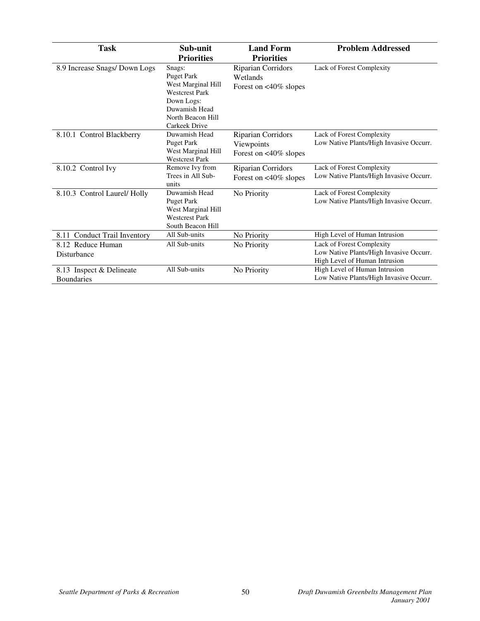| <b>Task</b>                                   | Sub-unit                                                                                                                                               | <b>Land Form</b>                                                    | <b>Problem Addressed</b>                                                                              |
|-----------------------------------------------|--------------------------------------------------------------------------------------------------------------------------------------------------------|---------------------------------------------------------------------|-------------------------------------------------------------------------------------------------------|
|                                               | <b>Priorities</b>                                                                                                                                      | <b>Priorities</b>                                                   |                                                                                                       |
| 8.9 Increase Snags/Down Logs                  | Snags:<br><b>Puget Park</b><br>West Marginal Hill<br><b>Westcrest Park</b><br>Down Logs:<br>Duwamish Head<br>North Beacon Hill<br><b>Carkeek Drive</b> | Riparian Corridors<br>Wetlands<br>Forest on <40% slopes             | Lack of Forest Complexity                                                                             |
| 8.10.1 Control Blackberry                     | Duwamish Head<br><b>Puget Park</b><br>West Marginal Hill<br><b>Westcrest Park</b>                                                                      | Riparian Corridors<br>Viewpoints<br>Forest on $\langle 40\%$ slopes | Lack of Forest Complexity<br>Low Native Plants/High Invasive Occurr.                                  |
| 8.10.2 Control Ivy                            | Remove Ivy from<br>Trees in All Sub-<br>units                                                                                                          | Riparian Corridors<br>Forest on $<40\%$ slopes                      | Lack of Forest Complexity<br>Low Native Plants/High Invasive Occurr.                                  |
| 8.10.3 Control Laurel/ Holly                  | Duwamish Head<br><b>Puget Park</b><br>West Marginal Hill<br><b>Westcrest Park</b><br>South Beacon Hill                                                 | No Priority                                                         | Lack of Forest Complexity<br>Low Native Plants/High Invasive Occurr.                                  |
| <b>Conduct Trail Inventory</b><br>8.11        | All Sub-units                                                                                                                                          | No Priority                                                         | High Level of Human Intrusion                                                                         |
| 8.12 Reduce Human<br>Disturbance              | All Sub-units                                                                                                                                          | No Priority                                                         | Lack of Forest Complexity<br>Low Native Plants/High Invasive Occurr.<br>High Level of Human Intrusion |
| 8.13 Inspect & Delineate<br><b>Boundaries</b> | All Sub-units                                                                                                                                          | No Priority                                                         | High Level of Human Intrusion<br>Low Native Plants/High Invasive Occurr.                              |